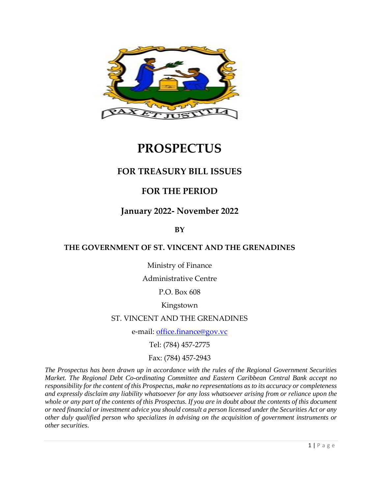

# **PROSPECTUS**

# **FOR TREASURY BILL ISSUES**

# **FOR THE PERIOD**

# **January 2022- November 2022**

**BY** 

### **THE GOVERNMENT OF ST. VINCENT AND THE GRENADINES**

Ministry of Finance

Administrative Centre

P.O. Box 608

Kingstown

#### ST. VINCENT AND THE GRENADINES

e-mail: [office.finance@gov.vc](mailto:office.finance@gov.vc)

Tel: (784) 457-2775

Fax: (784) 457-2943

*The Prospectus has been drawn up in accordance with the rules of the Regional Government Securities Market. The Regional Debt Co-ordinating Committee and Eastern Caribbean Central Bank accept no responsibility for the content of this Prospectus, make no representations as to its accuracy or completeness and expressly disclaim any liability whatsoever for any loss whatsoever arising from or reliance upon the whole or any part of the contents of this Prospectus. If you are in doubt about the contents of this document or need financial or investment advice you should consult a person licensed under the Securities Act or any other duly qualified person who specializes in advising on the acquisition of government instruments or other securities.*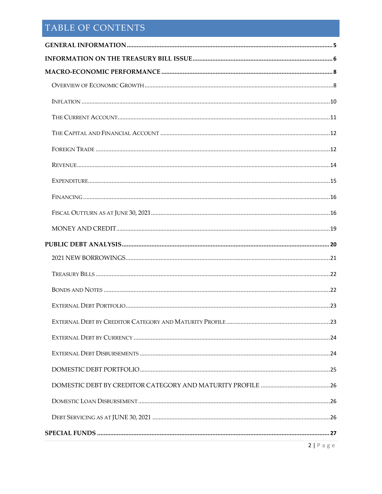# TABLE OF CONTENTS

| $2   P \text{ a g e}$ |
|-----------------------|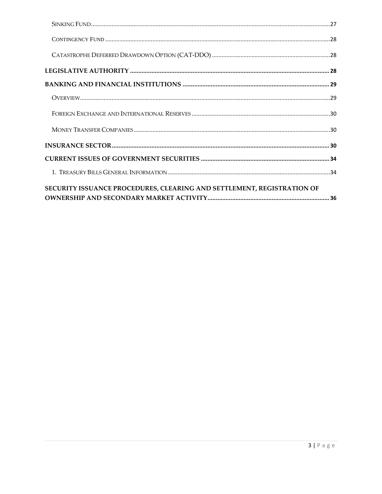| SECURITY ISSUANCE PROCEDURES, CLEARING AND SETTLEMENT, REGISTRATION OF |  |
|------------------------------------------------------------------------|--|
|                                                                        |  |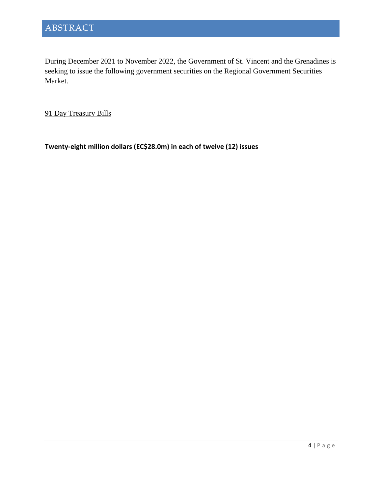During December 2021 to November 2022, the Government of St. Vincent and the Grenadines is seeking to issue the following government securities on the Regional Government Securities Market.

91 Day Treasury Bills

**Twenty-eight million dollars (EC\$28.0m) in each of twelve (12) issues**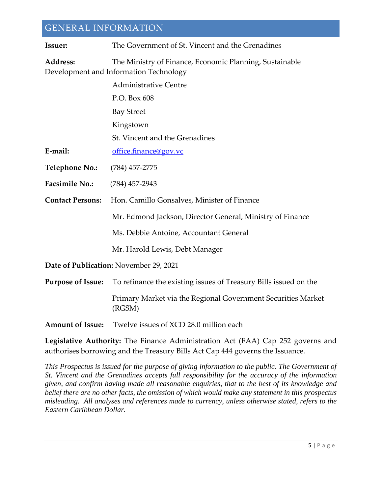# <span id="page-4-0"></span>GENERAL INFORMATION

| <b>Issuer:</b>                                                                                                | The Government of St. Vincent and the Grenadines                       |  |  |  |
|---------------------------------------------------------------------------------------------------------------|------------------------------------------------------------------------|--|--|--|
| Address:<br>The Ministry of Finance, Economic Planning, Sustainable<br>Development and Information Technology |                                                                        |  |  |  |
|                                                                                                               | <b>Administrative Centre</b>                                           |  |  |  |
|                                                                                                               | P.O. Box 608                                                           |  |  |  |
|                                                                                                               | <b>Bay Street</b>                                                      |  |  |  |
|                                                                                                               | Kingstown                                                              |  |  |  |
|                                                                                                               | St. Vincent and the Grenadines                                         |  |  |  |
| E-mail:                                                                                                       | office.finance@gov.vc                                                  |  |  |  |
| <b>Telephone No.:</b>                                                                                         | (784) 457-2775                                                         |  |  |  |
| <b>Facsimile No.:</b>                                                                                         | $(784)$ 457-2943                                                       |  |  |  |
| <b>Contact Persons:</b>                                                                                       | Hon. Camillo Gonsalves, Minister of Finance                            |  |  |  |
|                                                                                                               | Mr. Edmond Jackson, Director General, Ministry of Finance              |  |  |  |
|                                                                                                               | Ms. Debbie Antoine, Accountant General                                 |  |  |  |
|                                                                                                               | Mr. Harold Lewis, Debt Manager                                         |  |  |  |
|                                                                                                               | Date of Publication: November 29, 2021                                 |  |  |  |
| <b>Purpose of Issue:</b>                                                                                      | To refinance the existing issues of Treasury Bills issued on the       |  |  |  |
|                                                                                                               | Primary Market via the Regional Government Securities Market<br>(RGSM) |  |  |  |
| <b>Amount of Issue:</b>                                                                                       | Twelve issues of XCD 28.0 million each                                 |  |  |  |

**Legislative Authority:** The Finance Administration Act (FAA) Cap 252 governs and authorises borrowing and the Treasury Bills Act Cap 444 governs the Issuance.

*This Prospectus is issued for the purpose of giving information to the public. The Government of St. Vincent and the Grenadines accepts full responsibility for the accuracy of the information given, and confirm having made all reasonable enquiries, that to the best of its knowledge and belief there are no other facts, the omission of which would make any statement in this prospectus misleading. All analyses and references made to currency, unless otherwise stated, refers to the Eastern Caribbean Dollar.*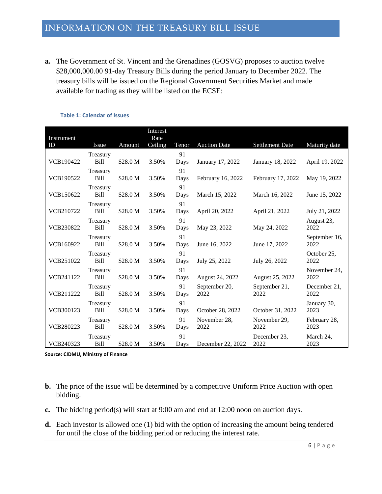<span id="page-5-0"></span>**a.** The Government of St. Vincent and the Grenadines (GOSVG) proposes to auction twelve \$28,000,000.00 91-day Treasury Bills during the period January to December 2022. The treasury bills will be issued on the Regional Government Securities Market and made available for trading as they will be listed on the ECSE:

| Instrument       |                         |          | Interest<br>Rate |            |                       |                        |                       |
|------------------|-------------------------|----------|------------------|------------|-----------------------|------------------------|-----------------------|
| ID               | Issue                   | Amount   | Ceiling          | Tenor      | <b>Auction Date</b>   | <b>Settlement Date</b> | Maturity date         |
| VCB190422        | Treasury<br>Bill        | \$28.0 M | 3.50%            | 91<br>Days | January 17, 2022      | January 18, 2022       | April 19, 2022        |
| <b>VCB190522</b> | Treasury<br>Bill        | \$28.0 M | 3.50%            | 91<br>Days | February 16, 2022     | February 17, 2022      | May 19, 2022          |
| VCB150622        | Treasury<br>Bill        | \$28.0 M | 3.50%            | 91<br>Days | March 15, 2022        | March 16, 2022         | June 15, 2022         |
| VCB210722        | Treasury<br><b>Bill</b> | \$28.0 M | 3.50%            | 91<br>Days | April 20, 2022        | April 21, 2022         | July 21, 2022         |
| <b>VCB230822</b> | Treasury<br><b>Bill</b> | \$28.0 M | 3.50%            | 91<br>Days | May 23, 2022          | May 24, 2022           | August 23,<br>2022    |
| VCB160922        | Treasury<br><b>Bill</b> | \$28.0 M | 3.50%            | 91<br>Days | June 16, 2022         | June 17, 2022          | September 16,<br>2022 |
| <b>VCB251022</b> | Treasury<br><b>Bill</b> | \$28.0 M | 3.50%            | 91<br>Days | July 25, 2022         | July 26, 2022          | October 25,<br>2022   |
| <b>VCB241122</b> | Treasury<br><b>Bill</b> | \$28.0 M | 3.50%            | 91<br>Days | August 24, 2022       | August 25, 2022        | November 24.<br>2022  |
| <b>VCB211222</b> | Treasury<br><b>Bill</b> | \$28.0 M | 3.50%            | 91<br>Days | September 20,<br>2022 | September 21,<br>2022  | December 21.<br>2022  |
| VCB300123        | Treasury<br>Bill        | \$28.0 M | 3.50%            | 91<br>Days | October 28, 2022      | October 31, 2022       | January 30,<br>2023   |
| <b>VCB280223</b> | Treasury<br>Bill        | \$28.0 M | 3.50%            | 91<br>Days | November 28,<br>2022  | November 29,<br>2022   | February 28,<br>2023  |
| VCB240323        | Treasury<br><b>Bill</b> | \$28.0 M | 3.50%            | 91<br>Days | December 22, 2022     | December 23,<br>2022   | March 24,<br>2023     |

#### **Table 1: Calendar of Issues**

**Source: CIDMU, Ministry of Finance**

- **b.** The price of the issue will be determined by a competitive Uniform Price Auction with open bidding.
- **c.** The bidding period(s) will start at 9:00 am and end at 12:00 noon on auction days.
- **d.** Each investor is allowed one (1) bid with the option of increasing the amount being tendered for until the close of the bidding period or reducing the interest rate.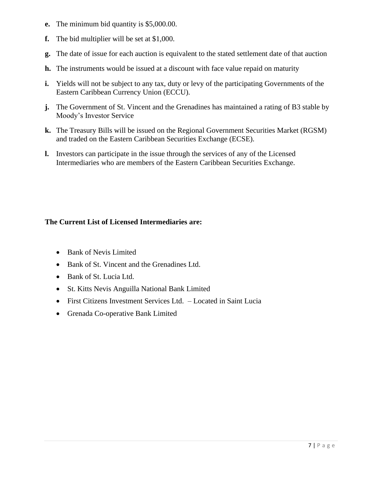- **e.** The minimum bid quantity is \$5,000.00.
- **f.** The bid multiplier will be set at \$1,000.
- **g.** The date of issue for each auction is equivalent to the stated settlement date of that auction
- **h.** The instruments would be issued at a discount with face value repaid on maturity
- **i.** Yields will not be subject to any tax, duty or levy of the participating Governments of the Eastern Caribbean Currency Union (ECCU).
- **j.** The Government of St. Vincent and the Grenadines has maintained a rating of B3 stable by Moody's Investor Service
- **k.** The Treasury Bills will be issued on the Regional Government Securities Market (RGSM) and traded on the Eastern Caribbean Securities Exchange (ECSE).
- **l.** Investors can participate in the issue through the services of any of the Licensed Intermediaries who are members of the Eastern Caribbean Securities Exchange.

### **The Current List of Licensed Intermediaries are:**

- Bank of Nevis Limited
- Bank of St. Vincent and the Grenadines Ltd.
- Bank of St. Lucia Ltd.
- St. Kitts Nevis Anguilla National Bank Limited
- First Citizens Investment Services Ltd. Located in Saint Lucia
- Grenada Co-operative Bank Limited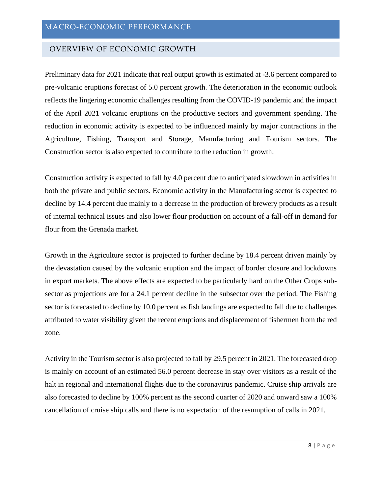#### <span id="page-7-1"></span><span id="page-7-0"></span>OVERVIEW OF ECONOMIC GROWTH

Preliminary data for 2021 indicate that real output growth is estimated at -3.6 percent compared to pre-volcanic eruptions forecast of 5.0 percent growth. The deterioration in the economic outlook reflects the lingering economic challenges resulting from the COVID-19 pandemic and the impact of the April 2021 volcanic eruptions on the productive sectors and government spending. The reduction in economic activity is expected to be influenced mainly by major contractions in the Agriculture, Fishing, Transport and Storage, Manufacturing and Tourism sectors. The Construction sector is also expected to contribute to the reduction in growth.

Construction activity is expected to fall by 4.0 percent due to anticipated slowdown in activities in both the private and public sectors. Economic activity in the Manufacturing sector is expected to decline by 14.4 percent due mainly to a decrease in the production of brewery products as a result of internal technical issues and also lower flour production on account of a fall-off in demand for flour from the Grenada market.

Growth in the Agriculture sector is projected to further decline by 18.4 percent driven mainly by the devastation caused by the volcanic eruption and the impact of border closure and lockdowns in export markets. The above effects are expected to be particularly hard on the Other Crops subsector as projections are for a 24.1 percent decline in the subsector over the period. The Fishing sector is forecasted to decline by 10.0 percent as fish landings are expected to fall due to challenges attributed to water visibility given the recent eruptions and displacement of fishermen from the red zone.

Activity in the Tourism sector is also projected to fall by 29.5 percent in 2021. The forecasted drop is mainly on account of an estimated 56.0 percent decrease in stay over visitors as a result of the halt in regional and international flights due to the coronavirus pandemic. Cruise ship arrivals are also forecasted to decline by 100% percent as the second quarter of 2020 and onward saw a 100% cancellation of cruise ship calls and there is no expectation of the resumption of calls in 2021.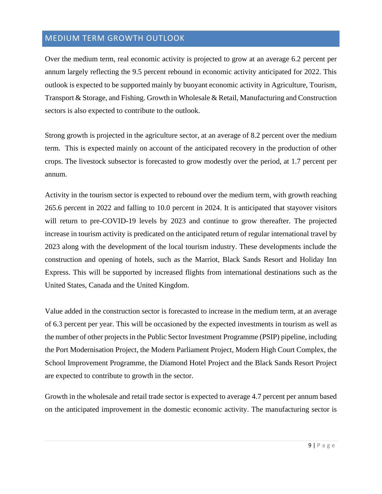# MEDIUM TERM GROWTH OUTLOOK

Over the medium term, real economic activity is projected to grow at an average 6.2 percent per annum largely reflecting the 9.5 percent rebound in economic activity anticipated for 2022. This outlook is expected to be supported mainly by buoyant economic activity in Agriculture, Tourism, Transport & Storage, and Fishing. Growth in Wholesale & Retail, Manufacturing and Construction sectors is also expected to contribute to the outlook.

Strong growth is projected in the agriculture sector, at an average of 8.2 percent over the medium term. This is expected mainly on account of the anticipated recovery in the production of other crops. The livestock subsector is forecasted to grow modestly over the period, at 1.7 percent per annum.

Activity in the tourism sector is expected to rebound over the medium term, with growth reaching 265.6 percent in 2022 and falling to 10.0 percent in 2024. It is anticipated that stayover visitors will return to pre-COVID-19 levels by 2023 and continue to grow thereafter. The projected increase in tourism activity is predicated on the anticipated return of regular international travel by 2023 along with the development of the local tourism industry. These developments include the construction and opening of hotels, such as the Marriot, Black Sands Resort and Holiday Inn Express. This will be supported by increased flights from international destinations such as the United States, Canada and the United Kingdom.

Value added in the construction sector is forecasted to increase in the medium term, at an average of 6.3 percent per year. This will be occasioned by the expected investments in tourism as well as the number of other projects in the Public Sector Investment Programme (PSIP) pipeline, including the Port Modernisation Project, the Modern Parliament Project, Modern High Court Complex, the School Improvement Programme, the Diamond Hotel Project and the Black Sands Resort Project are expected to contribute to growth in the sector.

Growth in the wholesale and retail trade sector is expected to average 4.7 percent per annum based on the anticipated improvement in the domestic economic activity. The manufacturing sector is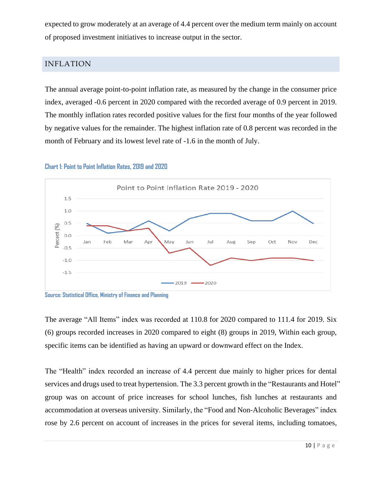expected to grow moderately at an average of 4.4 percent over the medium term mainly on account of proposed investment initiatives to increase output in the sector.

# <span id="page-9-0"></span>INFLATION

The annual average point-to-point inflation rate, as measured by the change in the consumer price index, averaged -0.6 percent in 2020 compared with the recorded average of 0.9 percent in 2019. The monthly inflation rates recorded positive values for the first four months of the year followed by negative values for the remainder. The highest inflation rate of 0.8 percent was recorded in the month of February and its lowest level rate of -1.6 in the month of July.





The average "All Items" index was recorded at 110.8 for 2020 compared to 111.4 for 2019. Six (6) groups recorded increases in 2020 compared to eight (8) groups in 2019, Within each group, specific items can be identified as having an upward or downward effect on the Index.

The "Health" index recorded an increase of 4.4 percent due mainly to higher prices for dental services and drugs used to treat hypertension. The 3.3 percent growth in the "Restaurants and Hotel" group was on account of price increases for school lunches, fish lunches at restaurants and accommodation at overseas university. Similarly, the "Food and Non-Alcoholic Beverages" index rose by 2.6 percent on account of increases in the prices for several items, including tomatoes,

**Source: Statistical Office, Ministry of Finance and Planning**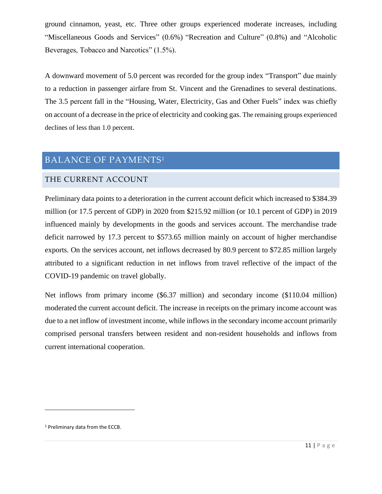ground cinnamon, yeast, etc. Three other groups experienced moderate increases, including "Miscellaneous Goods and Services" (0.6%) "Recreation and Culture" (0.8%) and "Alcoholic Beverages, Tobacco and Narcotics" (1.5%).

A downward movement of 5.0 percent was recorded for the group index "Transport" due mainly to a reduction in passenger airfare from St. Vincent and the Grenadines to several destinations. The 3.5 percent fall in the "Housing, Water, Electricity, Gas and Other Fuels" index was chiefly on account of a decrease in the price of electricity and cooking gas. The remaining groups experienced declines of less than 1.0 percent.

# BALANCE OF PAYMENTS<sup>1</sup>

### <span id="page-10-0"></span>THE CURRENT ACCOUNT

Preliminary data points to a deterioration in the current account deficit which increased to \$384.39 million (or 17.5 percent of GDP) in 2020 from \$215.92 million (or 10.1 percent of GDP) in 2019 influenced mainly by developments in the goods and services account. The merchandise trade deficit narrowed by 17.3 percent to \$573.65 million mainly on account of higher merchandise exports. On the services account, net inflows decreased by 80.9 percent to \$72.85 million largely attributed to a significant reduction in net inflows from travel reflective of the impact of the COVID-19 pandemic on travel globally.

Net inflows from primary income (\$6.37 million) and secondary income (\$110.04 million) moderated the current account deficit. The increase in receipts on the primary income account was due to a net inflow of investment income, while inflows in the secondary income account primarily comprised personal transfers between resident and non-resident households and inflows from current international cooperation.

<sup>1</sup> Preliminary data from the ECCB.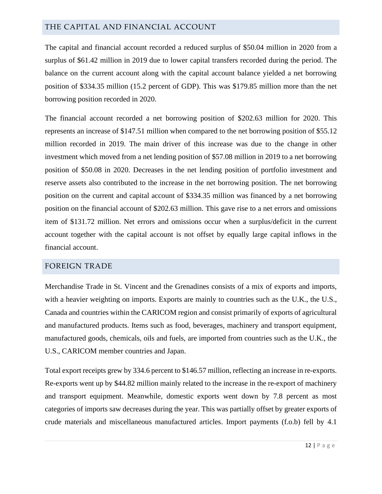### <span id="page-11-0"></span>THE CAPITAL AND FINANCIAL ACCOUNT

The capital and financial account recorded a reduced surplus of \$50.04 million in 2020 from a surplus of \$61.42 million in 2019 due to lower capital transfers recorded during the period. The balance on the current account along with the capital account balance yielded a net borrowing position of \$334.35 million (15.2 percent of GDP). This was \$179.85 million more than the net borrowing position recorded in 2020.

The financial account recorded a net borrowing position of \$202.63 million for 2020. This represents an increase of \$147.51 million when compared to the net borrowing position of \$55.12 million recorded in 2019. The main driver of this increase was due to the change in other investment which moved from a net lending position of \$57.08 million in 2019 to a net borrowing position of \$50.08 in 2020. Decreases in the net lending position of portfolio investment and reserve assets also contributed to the increase in the net borrowing position. The net borrowing position on the current and capital account of \$334.35 million was financed by a net borrowing position on the financial account of \$202.63 million. This gave rise to a net errors and omissions item of \$131.72 million. Net errors and omissions occur when a surplus/deficit in the current account together with the capital account is not offset by equally large capital inflows in the financial account.

# <span id="page-11-1"></span>FOREIGN TRADE

Merchandise Trade in St. Vincent and the Grenadines consists of a mix of exports and imports, with a heavier weighting on imports. Exports are mainly to countries such as the U.K., the U.S., Canada and countries within the CARICOM region and consist primarily of exports of agricultural and manufactured products. Items such as food, beverages, machinery and transport equipment, manufactured goods, chemicals, oils and fuels, are imported from countries such as the U.K., the U.S., CARICOM member countries and Japan.

Total export receipts grew by 334.6 percent to \$146.57 million, reflecting an increase in re-exports. Re-exports went up by \$44.82 million mainly related to the increase in the re-export of machinery and transport equipment. Meanwhile, domestic exports went down by 7.8 percent as most categories of imports saw decreases during the year. This was partially offset by greater exports of crude materials and miscellaneous manufactured articles. Import payments (f.o.b) fell by 4.1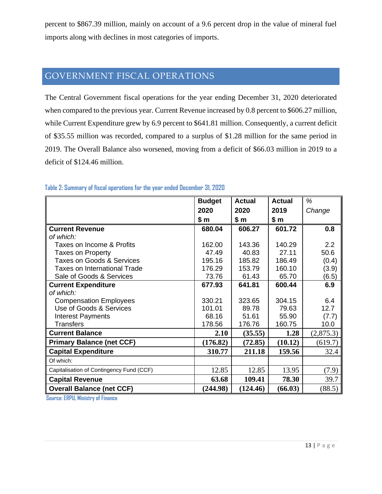percent to \$867.39 million, mainly on account of a 9.6 percent drop in the value of mineral fuel imports along with declines in most categories of imports.

# GOVERNMENT FISCAL OPERATIONS

The Central Government fiscal operations for the year ending December 31, 2020 deteriorated when compared to the previous year. Current Revenue increased by 0.8 percent to \$606.27 million, while Current Expenditure grew by 6.9 percent to \$641.81 million. Consequently, a current deficit of \$35.55 million was recorded, compared to a surplus of \$1.28 million for the same period in 2019. The Overall Balance also worsened, moving from a deficit of \$66.03 million in 2019 to a deficit of \$124.46 million.

|                                          | <b>Budget</b> | Actual   | Actual  | %         |
|------------------------------------------|---------------|----------|---------|-----------|
|                                          | 2020          | 2020     | 2019    | Change    |
|                                          | \$ m          | \$m      | \$m     |           |
| <b>Current Revenue</b>                   | 680.04        | 606.27   | 601.72  | 0.8       |
| of which:                                |               |          |         |           |
| Taxes on Income & Profits                | 162.00        | 143.36   | 140.29  | 2.2       |
| <b>Taxes on Property</b>                 | 47.49         | 40.83    | 27.11   | 50.6      |
| <b>Taxes on Goods &amp; Services</b>     | 195.16        | 185.82   | 186.49  | (0.4)     |
| <b>Taxes on International Trade</b>      | 176.29        | 153.79   | 160.10  | (3.9)     |
| Sale of Goods & Services                 | 73.76         | 61.43    | 65.70   | (6.5)     |
| <b>Current Expenditure</b>               | 677.93        | 641.81   | 600.44  | 6.9       |
| of which:                                |               |          |         |           |
| <b>Compensation Employees</b>            | 330.21        | 323.65   | 304.15  | 6.4       |
| Use of Goods & Services                  | 101.01        | 89.78    | 79.63   | 12.7      |
| <b>Interest Payments</b>                 | 68.16         | 51.61    | 55.90   | (7.7)     |
| <b>Transfers</b>                         | 178.56        | 176.76   | 160.75  | 10.0      |
| <b>Current Balance</b>                   | 2.10          | (35.55)  | 1.28    | (2,875.3) |
| <b>Primary Balance (net CCF)</b>         | (176.82)      | (72.85)  | (10.12) | (619.7)   |
| <b>Capital Expenditure</b>               | 310.77        | 211.18   | 159.56  | 32.4      |
| Of which:                                |               |          |         |           |
| Capitalisation of Contingency Fund (CCF) | 12.85         | 12.85    | 13.95   | (7.9)     |
| <b>Capital Revenue</b>                   | 63.68         | 109.41   | 78.30   | 39.7      |
| <b>Overall Balance (net CCF)</b>         | (244.98)      | (124.46) | (66.03) | (88.5)    |

#### **Table 2: Summary of fiscal operations for the year ended December 31, 2020**

**Source: ERPU, Ministry of Finance**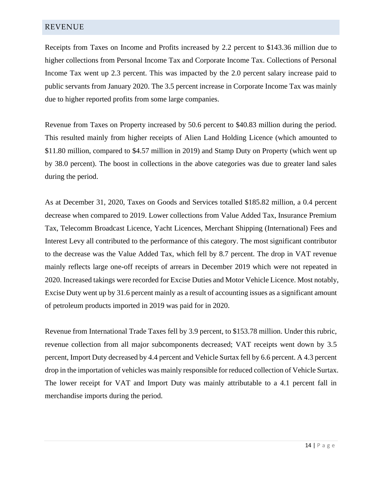#### <span id="page-13-0"></span>REVENUE

Receipts from Taxes on Income and Profits increased by 2.2 percent to \$143.36 million due to higher collections from Personal Income Tax and Corporate Income Tax. Collections of Personal Income Tax went up 2.3 percent. This was impacted by the 2.0 percent salary increase paid to public servants from January 2020. The 3.5 percent increase in Corporate Income Tax was mainly due to higher reported profits from some large companies.

Revenue from Taxes on Property increased by 50.6 percent to \$40.83 million during the period. This resulted mainly from higher receipts of Alien Land Holding Licence (which amounted to \$11.80 million, compared to \$4.57 million in 2019) and Stamp Duty on Property (which went up by 38.0 percent). The boost in collections in the above categories was due to greater land sales during the period.

As at December 31, 2020, Taxes on Goods and Services totalled \$185.82 million, a 0.4 percent decrease when compared to 2019. Lower collections from Value Added Tax, Insurance Premium Tax, Telecomm Broadcast Licence, Yacht Licences, Merchant Shipping (International) Fees and Interest Levy all contributed to the performance of this category. The most significant contributor to the decrease was the Value Added Tax, which fell by 8.7 percent. The drop in VAT revenue mainly reflects large one-off receipts of arrears in December 2019 which were not repeated in 2020. Increased takings were recorded for Excise Duties and Motor Vehicle Licence. Most notably, Excise Duty went up by 31.6 percent mainly as a result of accounting issues as a significant amount of petroleum products imported in 2019 was paid for in 2020.

Revenue from International Trade Taxes fell by 3.9 percent, to \$153.78 million. Under this rubric, revenue collection from all major subcomponents decreased; VAT receipts went down by 3.5 percent, Import Duty decreased by 4.4 percent and Vehicle Surtax fell by 6.6 percent. A 4.3 percent drop in the importation of vehicles was mainly responsible for reduced collection of Vehicle Surtax. The lower receipt for VAT and Import Duty was mainly attributable to a 4.1 percent fall in merchandise imports during the period.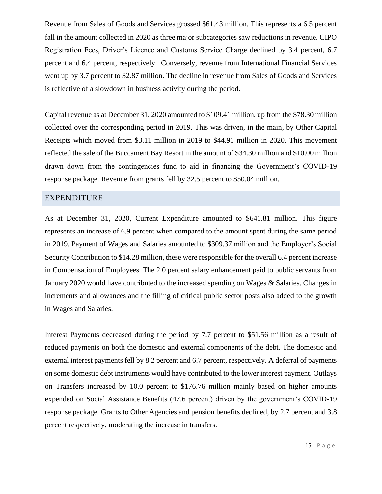Revenue from Sales of Goods and Services grossed \$61.43 million. This represents a 6.5 percent fall in the amount collected in 2020 as three major subcategories saw reductions in revenue. CIPO Registration Fees, Driver's Licence and Customs Service Charge declined by 3.4 percent, 6.7 percent and 6.4 percent, respectively. Conversely, revenue from International Financial Services went up by 3.7 percent to \$2.87 million. The decline in revenue from Sales of Goods and Services is reflective of a slowdown in business activity during the period.

Capital revenue as at December 31, 2020 amounted to \$109.41 million, up from the \$78.30 million collected over the corresponding period in 2019. This was driven, in the main, by Other Capital Receipts which moved from \$3.11 million in 2019 to \$44.91 million in 2020. This movement reflected the sale of the Buccament Bay Resort in the amount of \$34.30 million and \$10.00 million drawn down from the contingencies fund to aid in financing the Government's COVID-19 response package. Revenue from grants fell by 32.5 percent to \$50.04 million.

#### <span id="page-14-0"></span>EXPENDITURE

As at December 31, 2020, Current Expenditure amounted to \$641.81 million. This figure represents an increase of 6.9 percent when compared to the amount spent during the same period in 2019. Payment of Wages and Salaries amounted to \$309.37 million and the Employer's Social Security Contribution to \$14.28 million, these were responsible for the overall 6.4 percent increase in Compensation of Employees. The 2.0 percent salary enhancement paid to public servants from January 2020 would have contributed to the increased spending on Wages & Salaries. Changes in increments and allowances and the filling of critical public sector posts also added to the growth in Wages and Salaries.

Interest Payments decreased during the period by 7.7 percent to \$51.56 million as a result of reduced payments on both the domestic and external components of the debt. The domestic and external interest payments fell by 8.2 percent and 6.7 percent, respectively. A deferral of payments on some domestic debt instruments would have contributed to the lower interest payment. Outlays on Transfers increased by 10.0 percent to \$176.76 million mainly based on higher amounts expended on Social Assistance Benefits (47.6 percent) driven by the government's COVID-19 response package. Grants to Other Agencies and pension benefits declined, by 2.7 percent and 3.8 percent respectively, moderating the increase in transfers.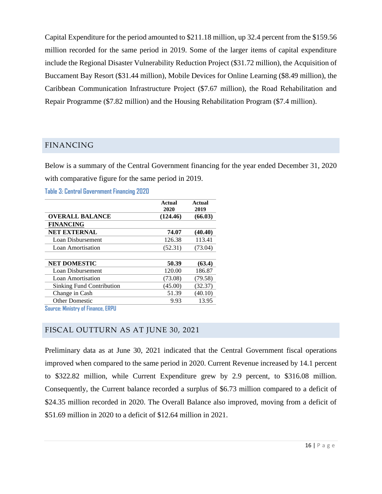Capital Expenditure for the period amounted to \$211.18 million, up 32.4 percent from the \$159.56 million recorded for the same period in 2019. Some of the larger items of capital expenditure include the Regional Disaster Vulnerability Reduction Project (\$31.72 million), the Acquisition of Buccament Bay Resort (\$31.44 million), Mobile Devices for Online Learning (\$8.49 million), the Caribbean Communication Infrastructure Project (\$7.67 million), the Road Rehabilitation and Repair Programme (\$7.82 million) and the Housing Rehabilitation Program (\$7.4 million).

### <span id="page-15-0"></span>FINANCING

Below is a summary of the Central Government financing for the year ended December 31, 2020 with comparative figure for the same period in 2019.

**Table 3: Central Government Financing 2020**

|                                  | Actual<br>2020 | <b>Actual</b><br>2019 |
|----------------------------------|----------------|-----------------------|
| <b>OVERALL BALANCE</b>           | (124.46)       | (66.03)               |
| <b>FINANCING</b>                 |                |                       |
| <b>NET EXTERNAL</b>              | 74.07          | (40.40)               |
| Loan Disbursement                | 126.38         | 113.41                |
| Loan Amortisation                | (52.31)        | (73.04)               |
|                                  |                |                       |
| <b>NET DOMESTIC</b>              | 50.39          | (63.4)                |
| Loan Disbursement                | 120.00         | 186.87                |
| Loan Amortisation                | (73.08)        | (79.58)               |
| <b>Sinking Fund Contribution</b> | (45.00)        | (32.37)               |
| Change in Cash                   | 51.39          | (40.10)               |
| <b>Other Domestic</b>            | 9.93           | 13.95                 |

**Source: Ministry of Finance, ERPU**

# <span id="page-15-1"></span>FISCAL OUTTURN AS AT JUNE 30, 2021

Preliminary data as at June 30, 2021 indicated that the Central Government fiscal operations improved when compared to the same period in 2020. Current Revenue increased by 14.1 percent to \$322.82 million, while Current Expenditure grew by 2.9 percent, to \$316.08 million. Consequently, the Current balance recorded a surplus of \$6.73 million compared to a deficit of \$24.35 million recorded in 2020. The Overall Balance also improved, moving from a deficit of \$51.69 million in 2020 to a deficit of \$12.64 million in 2021.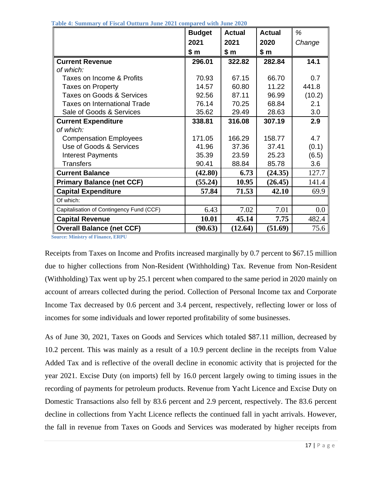|                                          | <b>Budget</b> | Actual  | <b>Actual</b> | %      |
|------------------------------------------|---------------|---------|---------------|--------|
|                                          | 2021          | 2021    | 2020          | Change |
|                                          | \$ m          | \$ m    | \$ m          |        |
| <b>Current Revenue</b>                   | 296.01        | 322.82  | 282.84        | 14.1   |
| of which:                                |               |         |               |        |
| Taxes on Income & Profits                | 70.93         | 67.15   | 66.70         | 0.7    |
| <b>Taxes on Property</b>                 | 14.57         | 60.80   | 11.22         | 441.8  |
| Taxes on Goods & Services                | 92.56         | 87.11   | 96.99         | (10.2) |
| <b>Taxes on International Trade</b>      | 76.14         | 70.25   | 68.84         | 2.1    |
| Sale of Goods & Services                 | 35.62         | 29.49   | 28.63         | 3.0    |
| <b>Current Expenditure</b>               | 338.81        | 316.08  | 307.19        | 2.9    |
| of which:                                |               |         |               |        |
| <b>Compensation Employees</b>            | 171.05        | 166.29  | 158.77        | 4.7    |
| Use of Goods & Services                  | 41.96         | 37.36   | 37.41         | (0.1)  |
| <b>Interest Payments</b>                 | 35.39         | 23.59   | 25.23         | (6.5)  |
| <b>Transfers</b>                         | 90.41         | 88.84   | 85.78         | 3.6    |
| <b>Current Balance</b>                   | (42.80)       | 6.73    | (24.35)       | 127.7  |
| <b>Primary Balance (net CCF)</b>         | (55.24)       | 10.95   | (26.45)       | 141.4  |
| <b>Capital Expenditure</b>               | 57.84         | 71.53   | 42.10         | 69.9   |
| Of which:                                |               |         |               |        |
| Capitalisation of Contingency Fund (CCF) | 6.43          | 7.02    | 7.01          | 0.0    |
| <b>Capital Revenue</b>                   | 10.01         | 45.14   | 7.75          | 482.4  |
| <b>Overall Balance (net CCF)</b>         | (90.63)       | (12.64) | (51.69)       | 75.6   |

 **Table 4: Summary of Fiscal Outturn June 2021 compared with June 2020**

 **Source: Ministry of Finance, ERPU**

Receipts from Taxes on Income and Profits increased marginally by 0.7 percent to \$67.15 million due to higher collections from Non-Resident (Withholding) Tax. Revenue from Non-Resident (Withholding) Tax went up by 25.1 percent when compared to the same period in 2020 mainly on account of arrears collected during the period. Collection of Personal Income tax and Corporate Income Tax decreased by 0.6 percent and 3.4 percent, respectively, reflecting lower or loss of incomes for some individuals and lower reported profitability of some businesses.

As of June 30, 2021, Taxes on Goods and Services which totaled \$87.11 million, decreased by 10.2 percent. This was mainly as a result of a 10.9 percent decline in the receipts from Value Added Tax and is reflective of the overall decline in economic activity that is projected for the year 2021. Excise Duty (on imports) fell by 16.0 percent largely owing to timing issues in the recording of payments for petroleum products. Revenue from Yacht Licence and Excise Duty on Domestic Transactions also fell by 83.6 percent and 2.9 percent, respectively. The 83.6 percent decline in collections from Yacht Licence reflects the continued fall in yacht arrivals. However, the fall in revenue from Taxes on Goods and Services was moderated by higher receipts from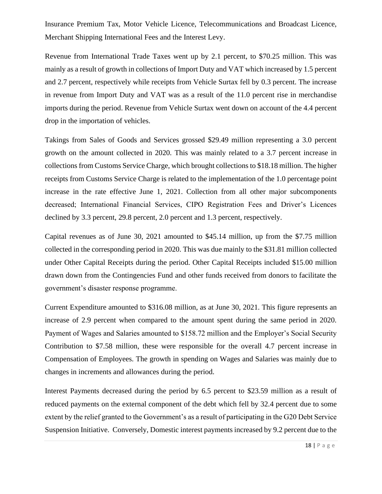Insurance Premium Tax, Motor Vehicle Licence, Telecommunications and Broadcast Licence, Merchant Shipping International Fees and the Interest Levy.

Revenue from International Trade Taxes went up by 2.1 percent, to \$70.25 million. This was mainly as a result of growth in collections of Import Duty and VAT which increased by 1.5 percent and 2.7 percent, respectively while receipts from Vehicle Surtax fell by 0.3 percent. The increase in revenue from Import Duty and VAT was as a result of the 11.0 percent rise in merchandise imports during the period. Revenue from Vehicle Surtax went down on account of the 4.4 percent drop in the importation of vehicles.

Takings from Sales of Goods and Services grossed \$29.49 million representing a 3.0 percent growth on the amount collected in 2020. This was mainly related to a 3.7 percent increase in collections from Customs Service Charge, which brought collections to \$18.18 million. The higher receipts from Customs Service Charge is related to the implementation of the 1.0 percentage point increase in the rate effective June 1, 2021. Collection from all other major subcomponents decreased; International Financial Services, CIPO Registration Fees and Driver's Licences declined by 3.3 percent, 29.8 percent, 2.0 percent and 1.3 percent, respectively.

Capital revenues as of June 30, 2021 amounted to \$45.14 million, up from the \$7.75 million collected in the corresponding period in 2020. This was due mainly to the \$31.81 million collected under Other Capital Receipts during the period. Other Capital Receipts included \$15.00 million drawn down from the Contingencies Fund and other funds received from donors to facilitate the government's disaster response programme.

Current Expenditure amounted to \$316.08 million, as at June 30, 2021. This figure represents an increase of 2.9 percent when compared to the amount spent during the same period in 2020. Payment of Wages and Salaries amounted to \$158.72 million and the Employer's Social Security Contribution to \$7.58 million, these were responsible for the overall 4.7 percent increase in Compensation of Employees. The growth in spending on Wages and Salaries was mainly due to changes in increments and allowances during the period.

Interest Payments decreased during the period by 6.5 percent to \$23.59 million as a result of reduced payments on the external component of the debt which fell by 32.4 percent due to some extent by the relief granted to the Government's as a result of participating in the G20 Debt Service Suspension Initiative. Conversely, Domestic interest payments increased by 9.2 percent due to the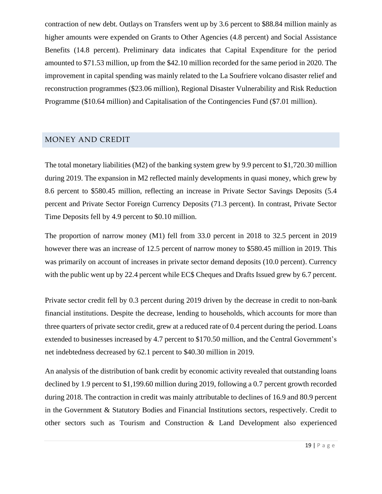contraction of new debt. Outlays on Transfers went up by 3.6 percent to \$88.84 million mainly as higher amounts were expended on Grants to Other Agencies (4.8 percent) and Social Assistance Benefits (14.8 percent). Preliminary data indicates that Capital Expenditure for the period amounted to \$71.53 million, up from the \$42.10 million recorded for the same period in 2020. The improvement in capital spending was mainly related to the La Soufriere volcano disaster relief and reconstruction programmes (\$23.06 million), Regional Disaster Vulnerability and Risk Reduction Programme (\$10.64 million) and Capitalisation of the Contingencies Fund (\$7.01 million).

#### <span id="page-18-0"></span>MONEY AND CREDIT

The total monetary liabilities (M2) of the banking system grew by 9.9 percent to \$1,720.30 million during 2019. The expansion in M2 reflected mainly developments in quasi money, which grew by 8.6 percent to \$580.45 million, reflecting an increase in Private Sector Savings Deposits (5.4 percent and Private Sector Foreign Currency Deposits (71.3 percent). In contrast, Private Sector Time Deposits fell by 4.9 percent to \$0.10 million.

The proportion of narrow money (M1) fell from 33.0 percent in 2018 to 32.5 percent in 2019 however there was an increase of 12.5 percent of narrow money to \$580.45 million in 2019. This was primarily on account of increases in private sector demand deposits (10.0 percent). Currency with the public went up by 22.4 percent while EC\$ Cheques and Drafts Issued grew by 6.7 percent.

Private sector credit fell by 0.3 percent during 2019 driven by the decrease in credit to non-bank financial institutions. Despite the decrease, lending to households, which accounts for more than three quarters of private sector credit, grew at a reduced rate of 0.4 percent during the period. Loans extended to businesses increased by 4.7 percent to \$170.50 million, and the Central Government's net indebtedness decreased by 62.1 percent to \$40.30 million in 2019.

An analysis of the distribution of bank credit by economic activity revealed that outstanding loans declined by 1.9 percent to \$1,199.60 million during 2019, following a 0.7 percent growth recorded during 2018. The contraction in credit was mainly attributable to declines of 16.9 and 80.9 percent in the Government & Statutory Bodies and Financial Institutions sectors, respectively. Credit to other sectors such as Tourism and Construction & Land Development also experienced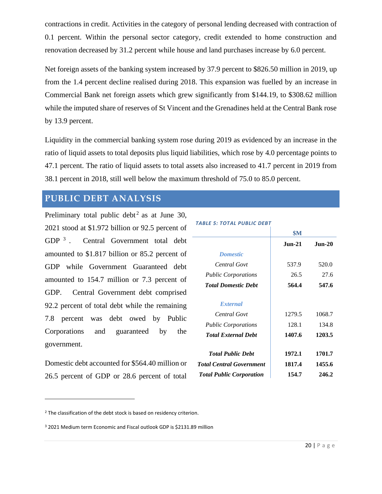contractions in credit. Activities in the category of personal lending decreased with contraction of 0.1 percent. Within the personal sector category, credit extended to home construction and renovation decreased by 31.2 percent while house and land purchases increase by 6.0 percent.

Net foreign assets of the banking system increased by 37.9 percent to \$826.50 million in 2019, up from the 1.4 percent decline realised during 2018. This expansion was fuelled by an increase in Commercial Bank net foreign assets which grew significantly from \$144.19, to \$308.62 million while the imputed share of reserves of St Vincent and the Grenadines held at the Central Bank rose by 13.9 percent.

Liquidity in the commercial banking system rose during 2019 as evidenced by an increase in the ratio of liquid assets to total deposits plus liquid liabilities, which rose by 4.0 percentage points to 47.1 percent. The ratio of liquid assets to total assets also increased to 41.7 percent in 2019 from 38.1 percent in 2018, still well below the maximum threshold of 75.0 to 85.0 percent.

# <span id="page-19-0"></span>**PUBLIC DEBT ANALYSIS**

Preliminary total public debt<sup>2</sup> as at June 30, 2021 stood at \$1.972 billion or 92.5 percent of GDP  $^3$ . . Central Government total debt amounted to \$1.817 billion or 85.2 percent of GDP while Government Guaranteed debt amounted to 154.7 million or 7.3 percent of GDP. Central Government debt comprised 92.2 percent of total debt while the remaining 7.8 percent was debt owed by Public Corporations and guaranteed by the government.

Domestic debt accounted for \$564.40 million or 26.5 percent of GDP or 28.6 percent of total

#### *TABLE 5: TOTAL PUBLIC DEBT*

| <b>SM</b>     |          |
|---------------|----------|
| <b>Jun-21</b> | $Jun-20$ |
|               |          |
| 537.9         | 520.0    |
| 26.5          | 27.6     |
| 564.4         | 547.6    |
|               |          |
| 1279.5        | 1068.7   |
| 128.1         | 134.8    |
| 1407.6        | 1203.5   |
| 1972.1        | 1701.7   |
| 1817.4        | 1455.6   |
| 154.7         | 246.2    |
|               |          |

<sup>&</sup>lt;sup>2</sup> The classification of the debt stock is based on residency criterion.

<sup>3</sup> 2021 Medium term Economic and Fiscal outlook GDP is \$2131.89 million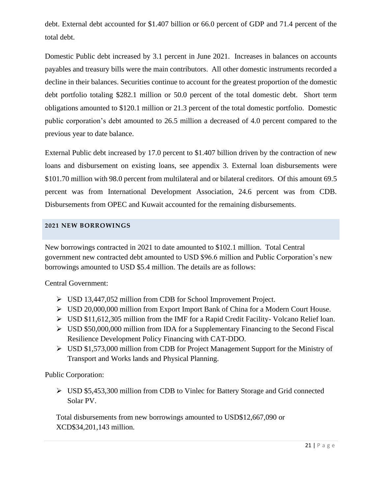debt. External debt accounted for \$1.407 billion or 66.0 percent of GDP and 71.4 percent of the total debt.

Domestic Public debt increased by 3.1 percent in June 2021. Increases in balances on accounts payables and treasury bills were the main contributors. All other domestic instruments recorded a decline in their balances. Securities continue to account for the greatest proportion of the domestic debt portfolio totaling \$282.1 million or 50.0 percent of the total domestic debt. Short term obligations amounted to \$120.1 million or 21.3 percent of the total domestic portfolio. Domestic public corporation's debt amounted to 26.5 million a decreased of 4.0 percent compared to the previous year to date balance.

External Public debt increased by 17.0 percent to \$1.407 billion driven by the contraction of new loans and disbursement on existing loans, see appendix 3. External loan disbursements were \$101.70 million with 98.0 percent from multilateral and or bilateral creditors. Of this amount 69.5 percent was from International Development Association, 24.6 percent was from CDB. Disbursements from OPEC and Kuwait accounted for the remaining disbursements.

#### <span id="page-20-0"></span>**2021 NEW BORROWINGS**

New borrowings contracted in 2021 to date amounted to \$102.1 million. Total Central government new contracted debt amounted to USD \$96.6 million and Public Corporation's new borrowings amounted to USD \$5.4 million. The details are as follows:

Central Government:

- ➢ USD 13,447,052 million from CDB for School Improvement Project.
- ➢ USD 20,000,000 million from Export Import Bank of China for a Modern Court House.
- ➢ USD \$11,612,305 million from the IMF for a Rapid Credit Facility- Volcano Relief loan.
- ➢ USD \$50,000,000 million from IDA for a Supplementary Financing to the Second Fiscal Resilience Development Policy Financing with CAT-DDO.
- ➢ USD \$1,573,000 million from CDB for Project Management Support for the Ministry of Transport and Works lands and Physical Planning.

Public Corporation:

➢ USD \$5,453,300 million from CDB to Vinlec for Battery Storage and Grid connected Solar PV.

Total disbursements from new borrowings amounted to USD\$12,667,090 or XCD\$34,201,143 million.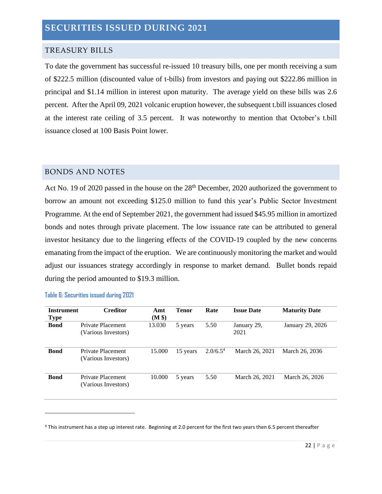#### <span id="page-21-0"></span>TREASURY BILLS

To date the government has successful re-issued 10 treasury bills, one per month receiving a sum of \$222.5 million (discounted value of t-bills) from investors and paying out \$222.86 million in principal and \$1.14 million in interest upon maturity. The average yield on these bills was 2.6 percent. After the April 09, 2021 volcanic eruption however, the subsequent t.bill issuances closed at the interest rate ceiling of 3.5 percent. It was noteworthy to mention that October's t.bill issuance closed at 100 Basis Point lower.

#### <span id="page-21-1"></span>BONDS AND NOTES

Act No. 19 of 2020 passed in the house on the 28<sup>th</sup> December, 2020 authorized the government to borrow an amount not exceeding \$125.0 million to fund this year's Public Sector Investment Programme. At the end of September 2021, the government had issued \$45.95 million in amortized bonds and notes through private placement. The low issuance rate can be attributed to general investor hesitancy due to the lingering effects of the COVID-19 coupled by the new concerns emanating from the impact of the eruption. We are continuously monitoring the market and would adjust our issuances strategy accordingly in response to market demand. Bullet bonds repaid during the period amounted to \$19.3 million.

| <b>Instrument</b><br><b>Type</b> | <b>Creditor</b>                          | Amt<br>(M \$) | <b>Tenor</b> | Rate                 | <b>Issue Date</b>   | <b>Maturity Date</b> |
|----------------------------------|------------------------------------------|---------------|--------------|----------------------|---------------------|----------------------|
| <b>Bond</b>                      | Private Placement<br>(Various Investors) | 13.030        | 5 years      | 5.50                 | January 29,<br>2021 | January 29, 2026     |
| <b>Bond</b>                      | Private Placement<br>(Various Investors) | 15.000        | 15 years     | 2.0/6.5 <sup>4</sup> | March 26, 2021      | March 26, 2036       |
| <b>Bond</b>                      | Private Placement<br>(Various Investors) | 10.000        | 5 years      | 5.50                 | March 26, 2021      | March 26, 2026       |

#### **Table 6: Securities issued during 2021**

<sup>4</sup> This instrument has a step up interest rate. Beginning at 2.0 percent for the first two years then 6.5 percent thereafter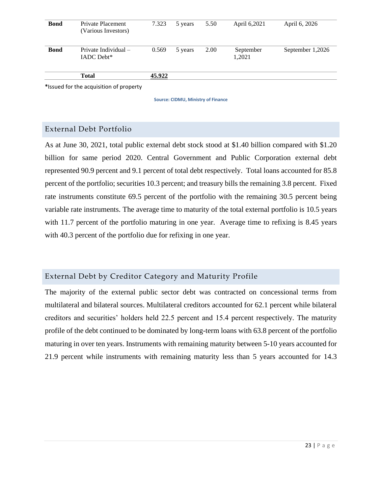|             | <b>Total</b><br>*Issued for the acquisition of property | 45.922 |         |      |                     |                  |
|-------------|---------------------------------------------------------|--------|---------|------|---------------------|------------------|
| <b>Bond</b> | Private Individual -<br>IADC Debt*                      | 0.569  | 5 years | 2.00 | September<br>1,2021 | September 1,2026 |
| <b>Bond</b> | Private Placement<br>(Various Investors)                | 7.323  | 5 years | 5.50 | April 6,2021        | April 6, 2026    |

**Source: CIDMU, Ministry of Finance**

# <span id="page-22-0"></span>External Debt Portfolio

As at June 30, 2021, total public external debt stock stood at \$1.40 billion compared with \$1.20 billion for same period 2020. Central Government and Public Corporation external debt represented 90.9 percent and 9.1 percent of total debt respectively. Total loans accounted for 85.8 percent of the portfolio; securities 10.3 percent; and treasury bills the remaining 3.8 percent. Fixed rate instruments constitute 69.5 percent of the portfolio with the remaining 30.5 percent being variable rate instruments. The average time to maturity of the total external portfolio is 10.5 years with 11.7 percent of the portfolio maturing in one year. Average time to refixing is 8.45 years with 40.3 percent of the portfolio due for refixing in one year.

# <span id="page-22-1"></span>External Debt by Creditor Category and Maturity Profile

The majority of the external public sector debt was contracted on concessional terms from multilateral and bilateral sources. Multilateral creditors accounted for 62.1 percent while bilateral creditors and securities' holders held 22.5 percent and 15.4 percent respectively. The maturity profile of the debt continued to be dominated by long-term loans with 63.8 percent of the portfolio maturing in over ten years. Instruments with remaining maturity between 5-10 years accounted for 21.9 percent while instruments with remaining maturity less than 5 years accounted for 14.3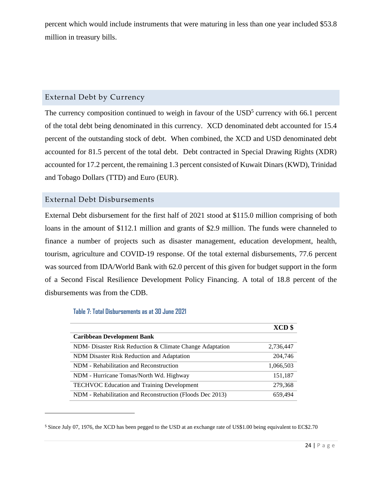percent which would include instruments that were maturing in less than one year included \$53.8 million in treasury bills.

## <span id="page-23-0"></span>External Debt by Currency

The currency composition continued to weigh in favour of the  $\text{USD}^5$  currency with 66.1 percent of the total debt being denominated in this currency. XCD denominated debt accounted for 15.4 percent of the outstanding stock of debt. When combined, the XCD and USD denominated debt accounted for 81.5 percent of the total debt. Debt contracted in Special Drawing Rights (XDR) accounted for 17.2 percent, the remaining 1.3 percent consisted of Kuwait Dinars (KWD), Trinidad and Tobago Dollars (TTD) and Euro (EUR).

### <span id="page-23-1"></span>External Debt Disbursements

External Debt disbursement for the first half of 2021 stood at \$115.0 million comprising of both loans in the amount of \$112.1 million and grants of \$2.9 million. The funds were channeled to finance a number of projects such as disaster management, education development, health, tourism, agriculture and COVID-19 response. Of the total external disbursements, 77.6 percent was sourced from IDA/World Bank with 62.0 percent of this given for budget support in the form of a Second Fiscal Resilience Development Policy Financing. A total of 18.8 percent of the disbursements was from the CDB.

#### **Table 7: Total Disbursements as at 30 June 2021**

|                                                           | XCD \$    |
|-----------------------------------------------------------|-----------|
| <b>Caribbean Development Bank</b>                         |           |
| NDM- Disaster Risk Reduction & Climate Change Adaptation  | 2,736,447 |
| NDM Disaster Risk Reduction and Adaptation                | 204,746   |
| NDM - Rehabilitation and Reconstruction                   | 1,066,503 |
| NDM - Hurricane Tomas/North Wd. Highway                   | 151,187   |
| <b>TECHVOC Education and Training Development</b>         | 279,368   |
| NDM - Rehabilitation and Reconstruction (Floods Dec 2013) | 659.494   |

<sup>5</sup> Since July 07, 1976, the XCD has been pegged to the USD at an exchange rate of US\$1.00 being equivalent to EC\$2.70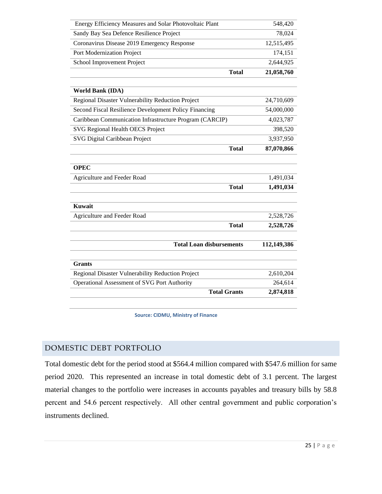| Energy Efficiency Measures and Solar Photovoltaic Plant | 548,420     |
|---------------------------------------------------------|-------------|
| Sandy Bay Sea Defence Resilience Project                | 78,024      |
| Coronavirus Disease 2019 Emergency Response             | 12,515,495  |
| Port Modernization Project                              | 174,151     |
| School Improvement Project                              | 2,644,925   |
| <b>Total</b>                                            | 21,058,760  |
|                                                         |             |
| <b>World Bank (IDA)</b>                                 |             |
| Regional Disaster Vulnerability Reduction Project       | 24,710,609  |
| Second Fiscal Resilience Development Policy Financing   | 54,000,000  |
| Caribbean Communication Infrastructure Program (CARCIP) | 4,023,787   |
| SVG Regional Health OECS Project                        | 398,520     |
| SVG Digital Caribbean Project                           | 3,937,950   |
| <b>Total</b>                                            | 87,070,866  |
|                                                         |             |
| <b>OPEC</b>                                             |             |
| Agriculture and Feeder Road                             | 1,491,034   |
| <b>Total</b>                                            | 1,491,034   |
|                                                         |             |
| <b>Kuwait</b>                                           |             |
| Agriculture and Feeder Road                             | 2,528,726   |
| <b>Total</b>                                            | 2,528,726   |
|                                                         |             |
| <b>Total Loan disbursements</b>                         | 112,149,386 |
|                                                         |             |
| <b>Grants</b>                                           |             |
| Regional Disaster Vulnerability Reduction Project       | 2,610,204   |
| Operational Assessment of SVG Port Authority            | 264,614     |
| <b>Total Grants</b>                                     | 2,874,818   |

**Source: CIDMU, Ministry of Finance**

#### <span id="page-24-0"></span>DOMESTIC DEBT PORTFOLIO

Total domestic debt for the period stood at \$564.4 million compared with \$547.6 million for same period 2020. This represented an increase in total domestic debt of 3.1 percent. The largest material changes to the portfolio were increases in accounts payables and treasury bills by 58.8 percent and 54.6 percent respectively. All other central government and public corporation's instruments declined.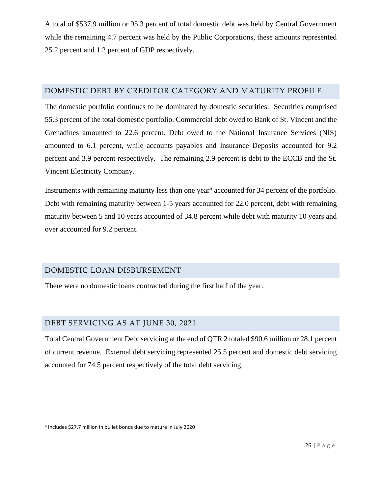A total of \$537.9 million or 95.3 percent of total domestic debt was held by Central Government while the remaining 4.7 percent was held by the Public Corporations, these amounts represented 25.2 percent and 1.2 percent of GDP respectively.

### <span id="page-25-0"></span>DOMESTIC DEBT BY CREDITOR CATEGORY AND MATURITY PROFILE

The domestic portfolio continues to be dominated by domestic securities. Securities comprised 55.3 percent of the total domestic portfolio. Commercial debt owed to Bank of St. Vincent and the Grenadines amounted to 22.6 percent. Debt owed to the National Insurance Services (NIS) amounted to 6.1 percent, while accounts payables and Insurance Deposits accounted for 9.2 percent and 3.9 percent respectively. The remaining 2.9 percent is debt to the ECCB and the St. Vincent Electricity Company.

Instruments with remaining maturity less than one year<sup>6</sup> accounted for 34 percent of the portfolio. Debt with remaining maturity between 1-5 years accounted for 22.0 percent, debt with remaining maturity between 5 and 10 years accounted of 34.8 percent while debt with maturity 10 years and over accounted for 9.2 percent.

# <span id="page-25-1"></span>DOMESTIC LOAN DISBURSEMENT

There were no domestic loans contracted during the first half of the year.

# <span id="page-25-2"></span>DEBT SERVICING AS AT JUNE 30, 2021

Total Central Government Debt servicing at the end of QTR 2 totaled \$90.6 million or 28.1 percent of current revenue. External debt servicing represented 25.5 percent and domestic debt servicing accounted for 74.5 percent respectively of the total debt servicing.

<sup>6</sup> Includes \$27.7 million in bullet bonds due to mature in July 2020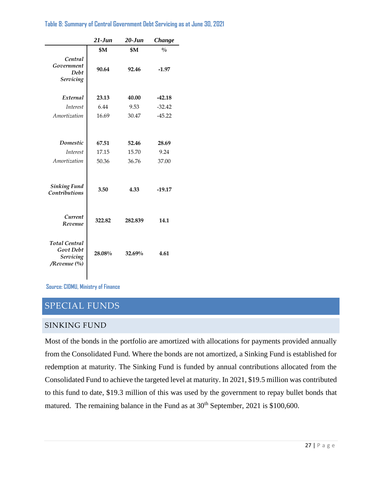|                                                                | $21$ -Jun | $20 - Jun$ | Change        |  |  |
|----------------------------------------------------------------|-----------|------------|---------------|--|--|
|                                                                | \$Μ       | \$M        | $\frac{0}{0}$ |  |  |
| Central<br>Government<br>Debt<br>Servicing                     | 90.64     | 92.46      | $-1.97$       |  |  |
| External                                                       | 23.13     | 40.00      | $-42.18$      |  |  |
| <i>Interest</i>                                                | 6.44      | 9.53       | $-32.42$      |  |  |
| Amortization                                                   | 16.69     | 30.47      | $-45.22$      |  |  |
|                                                                |           |            |               |  |  |
| Domestic                                                       | 67.51     | 52.46      | 28.69         |  |  |
| <i>Interest</i>                                                | 17.15     | 15.70      | 9.24          |  |  |
| Amortization                                                   | 50.36     | 36.76      | 37.00         |  |  |
| <b>Sinking Fund</b><br>Contributions                           | 3.50      | 4.33       | $-19.17$      |  |  |
| Current<br>Revenue                                             | 322.82    | 282.839    | 14.1          |  |  |
| <b>Total Central</b><br>Govt Debt<br>Servicing<br>/Revenue (%) | 28.08%    | 32.69%     | 4.61          |  |  |

**Table 8: Summary of Central Government Debt Servicing as at June 30, 2021**

**Source: CIDMU, Ministry of Finance**

# <span id="page-26-0"></span>SPECIAL FUNDS

#### <span id="page-26-1"></span>SINKING FUND

Most of the bonds in the portfolio are amortized with allocations for payments provided annually from the Consolidated Fund. Where the bonds are not amortized, a Sinking Fund is established for redemption at maturity. The Sinking Fund is funded by annual contributions allocated from the Consolidated Fund to achieve the targeted level at maturity. In 2021, \$19.5 million was contributed to this fund to date, \$19.3 million of this was used by the government to repay bullet bonds that matured. The remaining balance in the Fund as at  $30<sup>th</sup>$  September, 2021 is \$100,600.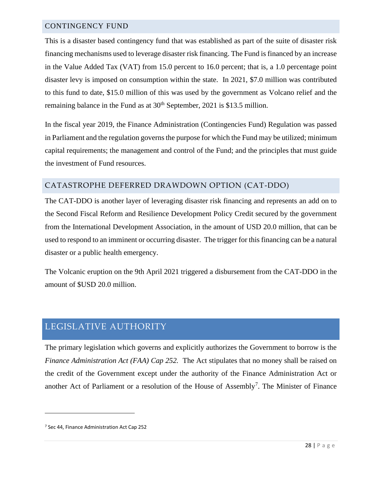#### <span id="page-27-0"></span>CONTINGENCY FUND

This is a disaster based contingency fund that was established as part of the suite of disaster risk financing mechanisms used to leverage disaster risk financing. The Fund is financed by an increase in the Value Added Tax (VAT) from 15.0 percent to 16.0 percent; that is, a 1.0 percentage point disaster levy is imposed on consumption within the state. In 2021, \$7.0 million was contributed to this fund to date, \$15.0 million of this was used by the government as Volcano relief and the remaining balance in the Fund as at  $30<sup>th</sup>$  September, 2021 is \$13.5 million.

In the fiscal year 2019, the Finance Administration (Contingencies Fund) Regulation was passed in Parliament and the regulation governs the purpose for which the Fund may be utilized; minimum capital requirements; the management and control of the Fund; and the principles that must guide the investment of Fund resources.

### <span id="page-27-1"></span>CATASTROPHE DEFERRED DRAWDOWN OPTION (CAT-DDO)

The CAT-DDO is another layer of leveraging disaster risk financing and represents an add on to the Second Fiscal Reform and Resilience Development Policy Credit secured by the government from the International Development Association, in the amount of USD 20.0 million, that can be used to respond to an imminent or occurring disaster. The trigger for this financing can be a natural disaster or a public health emergency.

The Volcanic eruption on the 9th April 2021 triggered a disbursement from the CAT-DDO in the amount of \$USD 20.0 million.

# <span id="page-27-2"></span>LEGISLATIVE AUTHORITY

The primary legislation which governs and explicitly authorizes the Government to borrow is the *Finance Administration Act (FAA) Cap 252.* The Act stipulates that no money shall be raised on the credit of the Government except under the authority of the Finance Administration Act or another Act of Parliament or a resolution of the House of Assembly<sup>7</sup>. The Minister of Finance

<sup>7</sup> Sec 44, Finance Administration Act Cap 252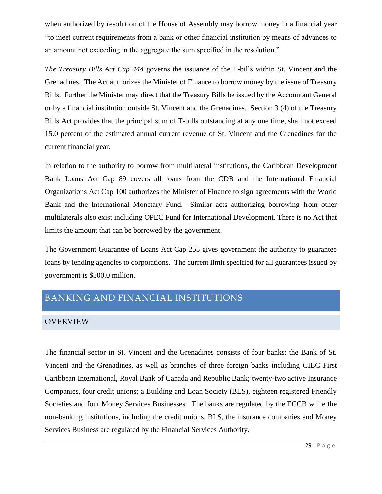when authorized by resolution of the House of Assembly may borrow money in a financial year "to meet current requirements from a bank or other financial institution by means of advances to an amount not exceeding in the aggregate the sum specified in the resolution."

*The Treasury Bills Act Cap 444* governs the issuance of the T-bills within St. Vincent and the Grenadines. The Act authorizes the Minister of Finance to borrow money by the issue of Treasury Bills. Further the Minister may direct that the Treasury Bills be issued by the Accountant General or by a financial institution outside St. Vincent and the Grenadines. Section 3 (4) of the Treasury Bills Act provides that the principal sum of T-bills outstanding at any one time, shall not exceed 15.0 percent of the estimated annual current revenue of St. Vincent and the Grenadines for the current financial year.

In relation to the authority to borrow from multilateral institutions, the Caribbean Development Bank Loans Act Cap 89 covers all loans from the CDB and the International Financial Organizations Act Cap 100 authorizes the Minister of Finance to sign agreements with the World Bank and the International Monetary Fund. Similar acts authorizing borrowing from other multilaterals also exist including OPEC Fund for International Development. There is no Act that limits the amount that can be borrowed by the government.

The Government Guarantee of Loans Act Cap 255 gives government the authority to guarantee loans by lending agencies to corporations. The current limit specified for all guarantees issued by government is \$300.0 million.

# <span id="page-28-0"></span>BANKING AND FINANCIAL INSTITUTIONS

### <span id="page-28-1"></span>OVERVIEW

The financial sector in St. Vincent and the Grenadines consists of four banks: the Bank of St. Vincent and the Grenadines, as well as branches of three foreign banks including CIBC First Caribbean International, Royal Bank of Canada and Republic Bank; twenty-two active Insurance Companies, four credit unions; a Building and Loan Society (BLS), eighteen registered Friendly Societies and four Money Services Businesses. The banks are regulated by the ECCB while the non-banking institutions, including the credit unions, BLS, the insurance companies and Money Services Business are regulated by the Financial Services Authority.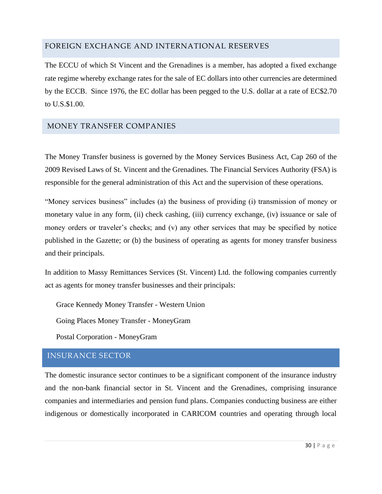## <span id="page-29-0"></span>FOREIGN EXCHANGE AND INTERNATIONAL RESERVES

The ECCU of which St Vincent and the Grenadines is a member, has adopted a fixed exchange rate regime whereby exchange rates for the sale of EC dollars into other currencies are determined by the ECCB. Since 1976, the EC dollar has been pegged to the U.S. dollar at a rate of EC\$2.70 to U.S.\$1.00.

### <span id="page-29-1"></span>MONEY TRANSFER COMPANIES

The Money Transfer business is governed by the Money Services Business Act, Cap 260 of the 2009 Revised Laws of St. Vincent and the Grenadines. The Financial Services Authority (FSA) is responsible for the general administration of this Act and the supervision of these operations.

"Money services business" includes (a) the business of providing (i) transmission of money or monetary value in any form, (ii) check cashing, (iii) currency exchange, (iv) issuance or sale of money orders or traveler's checks; and (v) any other services that may be specified by notice published in the Gazette; or (b) the business of operating as agents for money transfer business and their principals.

In addition to Massy Remittances Services (St. Vincent) Ltd. the following companies currently act as agents for money transfer businesses and their principals:

Grace Kennedy Money Transfer - Western Union

Going Places Money Transfer - MoneyGram

Postal Corporation - MoneyGram

# <span id="page-29-2"></span>INSURANCE SECTOR

The domestic insurance sector continues to be a significant component of the insurance industry and the non-bank financial sector in St. Vincent and the Grenadines, comprising insurance companies and intermediaries and pension fund plans. Companies conducting business are either indigenous or domestically incorporated in CARICOM countries and operating through local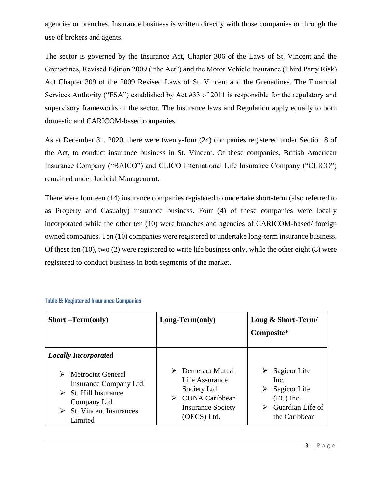agencies or branches. Insurance business is written directly with those companies or through the use of brokers and agents.

The sector is governed by the Insurance Act, Chapter 306 of the Laws of St. Vincent and the Grenadines, Revised Edition 2009 ("the Act") and the Motor Vehicle Insurance (Third Party Risk) Act Chapter 309 of the 2009 Revised Laws of St. Vincent and the Grenadines. The Financial Services Authority ("FSA") established by Act #33 of 2011 is responsible for the regulatory and supervisory frameworks of the sector. The Insurance laws and Regulation apply equally to both domestic and CARICOM-based companies.

As at December 31, 2020, there were twenty-four (24) companies registered under Section 8 of the Act, to conduct insurance business in St. Vincent. Of these companies, British American Insurance Company ("BAICO") and CLICO International Life Insurance Company ("CLICO") remained under Judicial Management.

There were fourteen (14) insurance companies registered to undertake short-term (also referred to as Property and Casualty) insurance business. Four (4) of these companies were locally incorporated while the other ten (10) were branches and agencies of CARICOM-based/ foreign owned companies. Ten (10) companies were registered to undertake long-term insurance business. Of these ten (10), two (2) were registered to write life business only, while the other eight (8) were registered to conduct business in both segments of the market.

| <b>Short</b> –Term(only)                                                                                                                                            | Long-Term(only)                                                                                                                        | Long & Short-Term/<br>Composite*                                                              |
|---------------------------------------------------------------------------------------------------------------------------------------------------------------------|----------------------------------------------------------------------------------------------------------------------------------------|-----------------------------------------------------------------------------------------------|
| <b>Locally Incorporated</b><br><b>Metrocint General</b><br>Insurance Company Ltd.<br>St. Hill Insurance<br>Company Ltd.<br><b>St. Vincent Insurances</b><br>Limited | $\triangleright$ Demerara Mutual<br>Life Assurance<br>Society Ltd.<br><b>CUNA Caribbean</b><br><b>Insurance Society</b><br>(OECS) Ltd. | Sagicor Life<br>Inc.<br>Sagicor Life<br>➤<br>$(EC)$ Inc.<br>Guardian Life of<br>the Caribbean |

**Table 9: Registered Insurance Companies**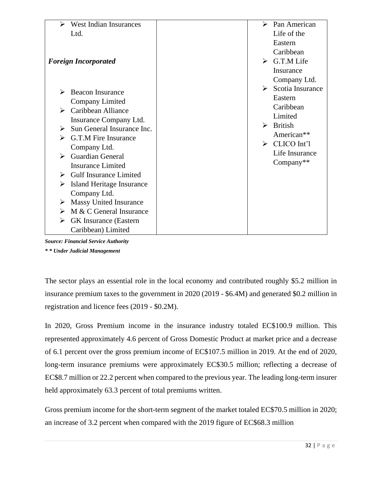| ➤<br><b>West Indian Insurances</b>          | ➤                     | Pan American                 |
|---------------------------------------------|-----------------------|------------------------------|
| Ltd.                                        |                       | Life of the                  |
|                                             |                       | Eastern                      |
|                                             |                       | Caribbean                    |
| <b>Foreign Incorporated</b>                 | $\blacktriangleright$ | G.T.M Life                   |
|                                             |                       | Insurance                    |
|                                             |                       | Company Ltd.                 |
|                                             | ➤                     | Scotia Insurance             |
| <b>Beacon Insurance</b><br>➤                |                       | Eastern                      |
| <b>Company Limited</b>                      |                       | Caribbean                    |
| $\triangleright$ Caribbean Alliance         |                       | Limited                      |
| Insurance Company Ltd.                      |                       |                              |
| Sun General Insurance Inc.<br>➤             | ➤                     | <b>British</b>               |
| $\triangleright$ G.T.M Fire Insurance       |                       | American**                   |
| Company Ltd.                                |                       | $\triangleright$ CLICO Int'l |
| <b>Guardian General</b><br>$\triangleright$ |                       | Life Insurance               |
| <b>Insurance Limited</b>                    |                       | Company**                    |
|                                             |                       |                              |
| <b>Gulf Insurance Limited</b><br>➤          |                       |                              |
| <b>Island Heritage Insurance</b><br>➤       |                       |                              |
| Company Ltd.                                |                       |                              |
| <b>Massy United Insurance</b><br>➤          |                       |                              |
| M & C General Insurance<br>➤                |                       |                              |
| <b>GK</b> Insurance (Eastern<br>➤           |                       |                              |
| Caribbean) Limited                          |                       |                              |

*Source: Financial Service Authority \* \* Under Judicial Management*

The sector plays an essential role in the local economy and contributed roughly \$5.2 million in insurance premium taxes to the government in 2020 (2019 - \$6.4M) and generated \$0.2 million in registration and licence fees (2019 - \$0.2M).

In 2020, Gross Premium income in the insurance industry totaled EC\$100.9 million. This represented approximately 4.6 percent of Gross Domestic Product at market price and a decrease of 6.1 percent over the gross premium income of EC\$107.5 million in 2019. At the end of 2020, long-term insurance premiums were approximately EC\$30.5 million; reflecting a decrease of EC\$8.7 million or 22.2 percent when compared to the previous year. The leading long-term insurer held approximately 63.3 percent of total premiums written.

Gross premium income for the short-term segment of the market totaled EC\$70.5 million in 2020; an increase of 3.2 percent when compared with the 2019 figure of EC\$68.3 million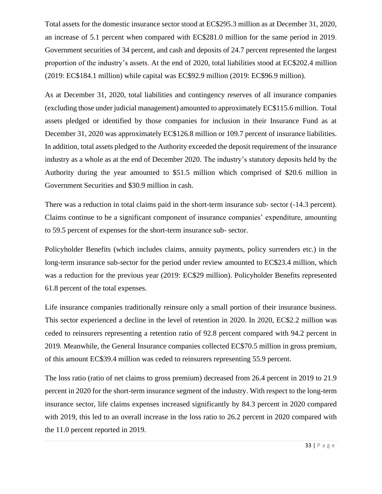Total assets for the domestic insurance sector stood at EC\$295.3 million as at December 31, 2020, an increase of 5.1 percent when compared with EC\$281.0 million for the same period in 2019. Government securities of 34 percent, and cash and deposits of 24.7 percent represented the largest proportion of the industry's assets. At the end of 2020, total liabilities stood at EC\$202.4 million (2019: EC\$184.1 million) while capital was EC\$92.9 million (2019: EC\$96.9 million).

As at December 31, 2020, total liabilities and contingency reserves of all insurance companies (excluding those under judicial management) amounted to approximately EC\$115.6 million. Total assets pledged or identified by those companies for inclusion in their Insurance Fund as at December 31, 2020 was approximately EC\$126.8 million or 109.7 percent of insurance liabilities. In addition, total assets pledged to the Authority exceeded the deposit requirement of the insurance industry as a whole as at the end of December 2020. The industry's statutory deposits held by the Authority during the year amounted to \$51.5 million which comprised of \$20.6 million in Government Securities and \$30.9 million in cash.

There was a reduction in total claims paid in the short-term insurance sub- sector (-14.3 percent). Claims continue to be a significant component of insurance companies' expenditure, amounting to 59.5 percent of expenses for the short-term insurance sub- sector.

Policyholder Benefits (which includes claims, annuity payments, policy surrenders etc.) in the long-term insurance sub-sector for the period under review amounted to EC\$23.4 million, which was a reduction for the previous year (2019: EC\$29 million). Policyholder Benefits represented 61.8 percent of the total expenses.

Life insurance companies traditionally reinsure only a small portion of their insurance business. This sector experienced a decline in the level of retention in 2020. In 2020, EC\$2.2 million was ceded to reinsurers representing a retention ratio of 92.8 percent compared with 94.2 percent in 2019. Meanwhile, the General Insurance companies collected EC\$70.5 million in gross premium, of this amount EC\$39.4 million was ceded to reinsurers representing 55.9 percent.

The loss ratio (ratio of net claims to gross premium) decreased from 26.4 percent in 2019 to 21.9 percent in 2020 for the short-term insurance segment of the industry. With respect to the long-term insurance sector, life claims expenses increased significantly by 84.3 percent in 2020 compared with 2019, this led to an overall increase in the loss ratio to 26.2 percent in 2020 compared with the 11.0 percent reported in 2019.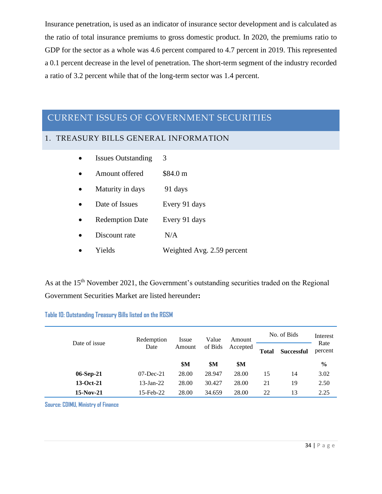Insurance penetration, is used as an indicator of insurance sector development and is calculated as the ratio of total insurance premiums to gross domestic product. In 2020, the premiums ratio to GDP for the sector as a whole was 4.6 percent compared to 4.7 percent in 2019. This represented a 0.1 percent decrease in the level of penetration. The short-term segment of the industry recorded a ratio of 3.2 percent while that of the long-term sector was 1.4 percent.

# <span id="page-33-0"></span>CURRENT ISSUES OF GOVERNMENT SECURITIES

# <span id="page-33-1"></span>1. TREASURY BILLS GENERAL INFORMATION

| <b>Issues Outstanding</b> | 3                          |
|---------------------------|----------------------------|
| Amount offered            | \$84.0 m                   |
| Maturity in days          | 91 days                    |
| Date of Issues            | Every 91 days              |
| <b>Redemption Date</b>    | Every 91 days              |
| Discount rate             | N/A                        |
| Yields                    | Weighted Avg. 2.59 percent |

As at the 15<sup>th</sup> November 2021, the Government's outstanding securities traded on the Regional Government Securities Market are listed hereunder**:**

#### **Table 10: Outstanding Treasury Bills listed on the RGSM**

|               | Redemption   | Issue  | Value   | Amount   | No. of Bids                       | Interest |                 |  |
|---------------|--------------|--------|---------|----------|-----------------------------------|----------|-----------------|--|
| Date of issue | Date         | Amount | of Bids | Accepted | <b>Total</b><br><b>Successful</b> |          | Rate<br>percent |  |
|               |              | \$M    | \$M     | \$M      |                                   |          | $\frac{0}{0}$   |  |
| $06-Sep-21$   | $07$ -Dec-21 | 28.00  | 28.947  | 28.00    | 15                                | 14       | 3.02            |  |
| 13-Oct-21     | $13$ -Jan-22 | 28.00  | 30.427  | 28.00    | 21                                | 19       | 2.50            |  |
| $15-Nov-21$   | 15-Feb-22    | 28.00  | 34.659  | 28.00    | 22                                | 13       | 2.25            |  |

**Source: CDIMU, Ministry of Finance**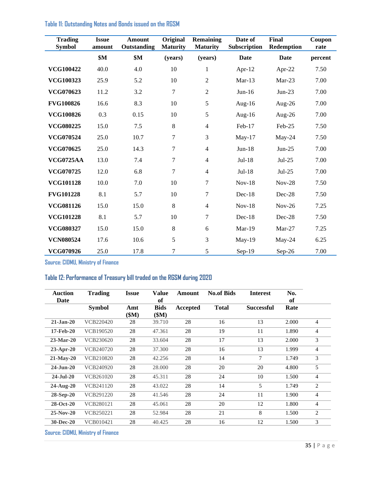| <b>Trading</b><br><b>Symbol</b> | <b>Issue</b><br>amount | <b>Amount</b><br>Outstanding | <b>Original</b><br><b>Maturity</b> | <b>Remaining</b><br><b>Maturity</b> | Date of<br>Subscription | <b>Final</b><br><b>Redemption</b> | Coupon<br>rate |
|---------------------------------|------------------------|------------------------------|------------------------------------|-------------------------------------|-------------------------|-----------------------------------|----------------|
|                                 | \$M                    | \$M                          | (years)                            | (years)                             | Date                    | Date                              | percent        |
| <b>VCG100422</b>                | 40.0                   | 4.0                          | 10                                 | 1                                   | Apr- $12$               | Apr-22                            | 7.50           |
| <b>VCG100323</b>                | 25.9                   | 5.2                          | 10                                 | $\overline{2}$                      | $Mar-13$                | $Mar-23$                          | 7.00           |
| VCG070623                       | 11.2                   | 3.2                          | 7                                  | $\overline{2}$                      | $Jun-16$                | $Jun-23$                          | 7.00           |
| <b>FVG100826</b>                | 16.6                   | 8.3                          | 10                                 | 5                                   | Aug- $16$               | Aug- $26$                         | 7.00           |
| <b>VCG100826</b>                | 0.3                    | 0.15                         | 10                                 | 5                                   | Aug- $16$               | Aug- $26$                         | 7.00           |
| VCG080225                       | 15.0                   | 7.5                          | 8                                  | $\overline{4}$                      | Feb-17                  | Feb-25                            | 7.50           |
| VCG070524                       | 25.0                   | 10.7                         | 7                                  | 3                                   | $May-17$                | May-24                            | 7.50           |
| VCG070625                       | 25.0                   | 14.3                         | 7                                  | $\overline{4}$                      | $Jun-18$                | $Jun-25$                          | 7.00           |
| <b>VCG0725AA</b>                | 13.0                   | 7.4                          | 7                                  | $\overline{4}$                      | Jul-18                  | $Jul-25$                          | 7.00           |
| VCG070725                       | 12.0                   | 6.8                          | $\tau$                             | $\overline{4}$                      | Jul-18                  | $Jul-25$                          | 7.00           |
| <b>VCG101128</b>                | 10.0                   | 7.0                          | 10                                 | 7                                   | $Nov-18$                | $Nov-28$                          | 7.50           |
| <b>FVG101228</b>                | 8.1                    | 5.7                          | 10                                 | 7                                   | $Dec-18$                | Dec-28                            | 7.50           |
| VCG081126                       | 15.0                   | 15.0                         | 8                                  | $\overline{4}$                      | $Nov-18$                | $Nov-26$                          | 7.25           |
| <b>VCG101228</b>                | 8.1                    | 5.7                          | 10                                 | 7                                   | $Dec-18$                | $Dec-28$                          | 7.50           |
| VCG080327                       | 15.0                   | 15.0                         | 8                                  | 6                                   | $Mar-19$                | $Mar-27$                          | 7.25           |
| <b>VCN080524</b>                | 17.6                   | 10.6                         | 5                                  | 3                                   | $May-19$                | $May-24$                          | 6.25           |
| VCG070926                       | 25.0                   | 17.8                         | 7                                  | 5                                   | $Sep-19$                | Sep-26                            | 7.00           |

**Table 11: Outstanding Notes and Bonds issued on the RGSM**

**Source: CIDMU, Ministry of Finance** 

#### **Table 12: Performance of Treasury bill traded on the RGSM during 2020**

| <b>Auction</b><br>Date | <b>Trading</b> | <b>Issue</b> | <b>Value</b><br>of   | Amount   | <b>No.of Bids</b> | <b>Interest</b>   | No.<br>of |                |
|------------------------|----------------|--------------|----------------------|----------|-------------------|-------------------|-----------|----------------|
|                        | <b>Symbol</b>  | Amt<br>\$M\$ | <b>Bids</b><br>\$M\$ | Accepted | <b>Total</b>      | <b>Successful</b> | Rate      |                |
| $21-Jan-20$            | VCB220420      | 28           | 39.710               | 28       | 16                | 13                | 2.000     | $\overline{4}$ |
| 17-Feb-20              | VCB190520      | 28           | 47.361               | 28       | 19                | 11                | 1.890     | $\overline{4}$ |
| $23-Mar-20$            | VCB230620      | 28           | 33.604               | 28       | 17                | 13                | 2.000     | 3              |
| 23-Apr-20              | VCB240720      | 28           | 37.300               | 28       | 16                | 13                | 1.999     | $\overline{4}$ |
| $21-Mav-20$            | VCB210820      | 28           | 42.256               | 28       | 14                | 7                 | 1.749     | 3              |
| $24$ -Jun-20           | VCB240920      | 28           | 28.000               | 28       | 20                | 20                | 4.800     | 5              |
| $24-Jul-20$            | VCB261020      | 28           | 45.311               | 28       | 24                | 10                | 1.500     | $\overline{4}$ |
| $24$ -Aug- $20$        | VCB241120      | 28           | 43.022               | 28       | 14                | 5                 | 1.749     | 2              |
| $28-Sep-20$            | VCB291220      | 28           | 41.546               | 28       | 24                | 11                | 1.900     | 4              |
| $28-Oct-20$            | VCB280121      | 28           | 45.061               | 28       | 20                | 12                | 1.800     | $\overline{4}$ |
| $25-Nov-20$            | VCB250221      | 28           | 52.984               | 28       | 21                | 8                 | 1.500     | 2              |
| $30 - Dec-20$          | VCB010421      | 28           | 40.425               | 28       | 16                | 12                | 1.500     | 3              |

**Source: CIDMU, Ministry of Finance**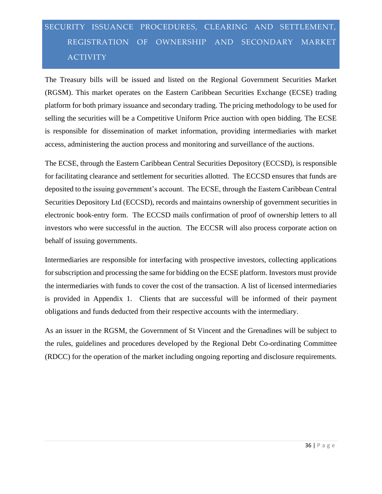# <span id="page-35-0"></span>SECURITY ISSUANCE PROCEDURES, CLEARING AND SETTLEMENT, REGISTRATION OF OWNERSHIP AND SECONDARY MARKET ACTIVITY

The Treasury bills will be issued and listed on the Regional Government Securities Market (RGSM). This market operates on the Eastern Caribbean Securities Exchange (ECSE) trading platform for both primary issuance and secondary trading. The pricing methodology to be used for selling the securities will be a Competitive Uniform Price auction with open bidding. The ECSE is responsible for dissemination of market information, providing intermediaries with market access, administering the auction process and monitoring and surveillance of the auctions.

The ECSE, through the Eastern Caribbean Central Securities Depository (ECCSD), is responsible for facilitating clearance and settlement for securities allotted. The ECCSD ensures that funds are deposited to the issuing government's account. The ECSE, through the Eastern Caribbean Central Securities Depository Ltd (ECCSD), records and maintains ownership of government securities in electronic book-entry form. The ECCSD mails confirmation of proof of ownership letters to all investors who were successful in the auction. The ECCSR will also process corporate action on behalf of issuing governments.

Intermediaries are responsible for interfacing with prospective investors, collecting applications for subscription and processing the same for bidding on the ECSE platform. Investors must provide the intermediaries with funds to cover the cost of the transaction. A list of licensed intermediaries is provided in Appendix 1. Clients that are successful will be informed of their payment obligations and funds deducted from their respective accounts with the intermediary.

As an issuer in the RGSM, the Government of St Vincent and the Grenadines will be subject to the rules, guidelines and procedures developed by the Regional Debt Co-ordinating Committee (RDCC) for the operation of the market including ongoing reporting and disclosure requirements.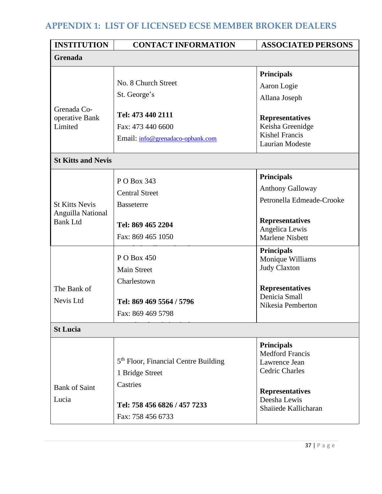# **APPENDIX 1: LIST OF LICENSED ECSE MEMBER BROKER DEALERS**

| <b>INSTITUTION</b>                                                                        | <b>CONTACT INFORMATION</b>                                                                                                                                                                               | <b>ASSOCIATED PERSONS</b>                                                                                                                                                                                                                                                       |  |  |  |
|-------------------------------------------------------------------------------------------|----------------------------------------------------------------------------------------------------------------------------------------------------------------------------------------------------------|---------------------------------------------------------------------------------------------------------------------------------------------------------------------------------------------------------------------------------------------------------------------------------|--|--|--|
| Grenada                                                                                   |                                                                                                                                                                                                          |                                                                                                                                                                                                                                                                                 |  |  |  |
|                                                                                           | No. 8 Church Street<br>St. George's                                                                                                                                                                      | <b>Principals</b><br>Aaron Logie<br>Allana Joseph                                                                                                                                                                                                                               |  |  |  |
| Grenada Co-<br>operative Bank<br>Limited                                                  | Tel: 473 440 2111<br>Fax: 473 440 6600<br>Email: info@grenadaco-opbank.com                                                                                                                               | <b>Representatives</b><br>Keisha Greenidge<br><b>Kishel Francis</b><br>Laurian Modeste                                                                                                                                                                                          |  |  |  |
| <b>St Kitts and Nevis</b>                                                                 |                                                                                                                                                                                                          |                                                                                                                                                                                                                                                                                 |  |  |  |
| <b>St Kitts Nevis</b><br>Anguilla National<br><b>Bank Ltd</b><br>The Bank of<br>Nevis Ltd | P O Box 343<br><b>Central Street</b><br><b>Basseterre</b><br>Tel: 869 465 2204<br>Fax: 869 465 1050<br>P O Box 450<br><b>Main Street</b><br>Charlestown<br>Tel: 869 469 5564 / 5796<br>Fax: 869 469 5798 | <b>Principals</b><br><b>Anthony Galloway</b><br>Petronella Edmeade-Crooke<br><b>Representatives</b><br>Angelica Lewis<br><b>Marlene Nisbett</b><br><b>Principals</b><br>Monique Williams<br><b>Judy Claxton</b><br><b>Representatives</b><br>Denicia Small<br>Nikesia Pemberton |  |  |  |
| <b>St Lucia</b>                                                                           |                                                                                                                                                                                                          |                                                                                                                                                                                                                                                                                 |  |  |  |
| <b>Bank of Saint</b><br>Lucia                                                             | 5 <sup>th</sup> Floor, Financial Centre Building<br>1 Bridge Street<br>Castries<br>Tel: 758 456 6826 / 457 7233<br>Fax: 758 456 6733                                                                     | <b>Principals</b><br><b>Medford Francis</b><br>Lawrence Jean<br><b>Cedric Charles</b><br><b>Representatives</b><br>Deesha Lewis<br>Shaiiede Kallicharan                                                                                                                         |  |  |  |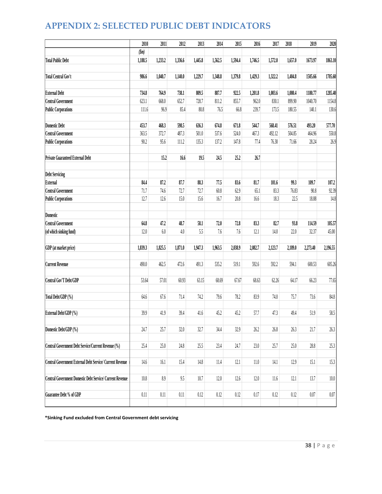# **APPENDIX 2: SELECTED PUBLIC DEBT INDICATORS**

|                                                           | 2010     | 2011    | 2012    | 2013     | 2014    | 2015    | 2016     | 2017    | 2018    | 2019     | 2020     |
|-----------------------------------------------------------|----------|---------|---------|----------|---------|---------|----------|---------|---------|----------|----------|
|                                                           | $(\$m)$  |         |         |          |         |         |          |         |         |          |          |
| <b>Total Public Debt</b>                                  | 1,188.5  | 1,233.2 | 1,336.6 | 1,445.8  | 1,562.5 | 1,594.4 | 1,746.5  | 1,572.0 | 1,657.0 | 1673.97  | 1863.10  |
|                                                           |          |         |         |          |         |         |          |         |         |          |          |
| <b>Total Central Gov't</b>                                | 986.6    | 1,040.7 | 1,140.0 | 1,229.7  | 1,348.8 | 1,379.8 | 1,429.3  | 1,322.2 | 1,404.8 | 1505.66  | 1705.60  |
| <b>External Debt</b>                                      | 734.8    | 764.9   | 738.1   | 809.5    | 887.7   | 922.5   | 1,201.8  | 1,003.6 | 1,080.4 | 1180.77  | 1285.40  |
| <b>Central Government</b>                                 | 623.1    | 668.0   | 652.7   | 728.7    | 811.2   | 855.7   | 962.0    | 830.1   | 899.90  | 1040.70  | 1154.8   |
| <b>Public Corporations</b>                                | 111.6    | 96.9    | 85.4    | 80.8     | 76.5    | 66.8    | 239.7    | 173.5   | 180.55  | 140.1    | 130.6    |
| <b>Domestic Debt</b>                                      | 453.7    | 468.3   | 598.5   | 636.3    | 674.8   | 671.8   | 544.7    | 568.41  | 576.51  | 493.20   | 577.70   |
| <b>Central Government</b>                                 | 363.5    | 372.7   | 487.3   | 501.0    | 537.6   | 524.0   | 467.3    | 492.12  | 504.85  | 464.96   | 550.8    |
| <b>Public Corporations</b>                                | 90.2     | 95.6    | 111.2   | 135.3    | 137.2   | 147.8   | 77.4     | 76.30   | 71.66   | 28.24    | 26.9     |
|                                                           |          |         |         |          |         |         |          |         |         |          |          |
| <b>Private Guaranteed External Debt</b>                   |          | 15.2    | 16.6    | 19.5     | 24.5    | 25.2    | 26.7     |         |         |          |          |
| <b>Debt Servicing</b>                                     |          |         |         |          |         |         |          |         |         |          |          |
| External                                                  | 84.4     | 87.2    | 87.7    | 88.3     | 77.5    | 83.6    | 81.7     | 101.6   | 99.3    | 109.7    | 107.2    |
| <b>Central Government</b>                                 | 71.7     | 74.6    | 72.7    | 72.7     | 60.8    | 62.9    | 65.1     | 83.3    | 76.83   | 90.8     | 92.39    |
| <b>Public Corporations</b>                                | 12.7     | 12.6    | 15.0    | 15.6     | 16.7    | 20.8    | 16.6     | 18.3    | 22.5    | 18.88    | 14.8     |
|                                                           |          |         |         |          |         |         |          |         |         |          |          |
| Domestic                                                  |          |         |         |          |         |         |          |         |         |          |          |
| <b>Central Government</b>                                 | 64.8     | 47.2    | 48.7    | 58.1     | 72.0    | 72.8    | 83.3     | 82.7    | 93.8    | 114.59   | 105.57   |
| (of which sinking fund)                                   | 12.0     | 6.0     | 4.0     | 5.5      | 7.6     | 7.6     | 12.1     | $14.0$  | 22.0    | 32.37    | 45.00    |
| GDP (at market price)                                     | 1,839.3  | 1,825.5 | 1,871.0 | 1,947.3  | 1,963.5 | 2,038.9 | 2,082.7  | 2,123.7 | 2,189.0 | 2,273.40 | 2,196.55 |
| <b>Current Revenue</b>                                    | 490.0    | 462.5   | 472.6   | 491.3    | 535.2   | 519.1   | 592.6    | 592.2   | 594.1   | 600.53   | 605.26   |
|                                                           |          |         |         |          |         |         |          |         |         |          |          |
| Central Gov'T Debt/GDP                                    | 53.64    | 57.01   | 60.93   | 63.15    | 68.69   | 67.67   | 68.63    | 62.26   | 64.17   | 66.23    | 77.65    |
| Total Debt/GDP (%)                                        | 64.6     | 67.6    | 71.4    | 74.2     | 79.6    | 78.2    | 83.9     | 74.0    | 75.7    | 73.6     | $84.8\,$ |
| External Debt/GDP (%)                                     | 39.9     | 41.9    | 39.4    | 41.6     | 45.2    | 45.2    | 57.7     | 47.3    | 49.4    | 51.9     | 58.5     |
|                                                           |          |         |         |          |         |         |          |         |         |          |          |
| Domestic Debt/GDP (%)                                     | 24.7     | 25.7    | 32.0    | 32.7     | 34.4    | 32.9    | 26.2     | 26.8    | 26.3    | 21.7     | 26.3     |
| Central Government Debt Service/Current Revenue (%)       | 25.4     | 25.0    | 24.8    | 25.5     |         | 24.7    | 23.0     |         | 25.0    | 28.8     |          |
|                                                           |          |         |         |          | 23.4    |         |          | 25.7    |         |          | 25.3     |
| Central Government External Debt Service/ Current Revenue | $14.6$   | 16.1    | 15.4    | $14.8$   | 11.4    | 12.1    | $11.0\,$ | 14.1    | 12.9    | 15.1     | 15.3     |
| Central Government Domestic Debt Service/ Current Revenue | $10.8\,$ | 8.9     | 9.5     | $10.7\,$ | $12.0$  | 12.6    | $12.0$   | 11.6    | $12.1$  | 13.7     | $10.0\,$ |
|                                                           |          |         |         |          |         |         |          |         |         |          |          |
| Guarantee Debt % of GDP                                   | 0.11     | 0.11    | 0.11    | 0.12     | 0.12    | 0.12    | 0.17     | 0.12    | 0.12    | 0.07     | $0.07\,$ |

**\*Sinking Fund excluded from Central Government debt servicing**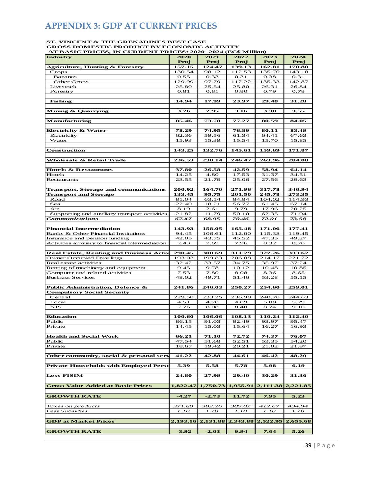# **APPENDIX 3: GDP AT CURRENT PRICES**

# **ST. VINCENT & THE GRENADINES BEST CASE GROSS DOMESTIC PRODUCT BY ECONOMIC ACTIVITY AT BASIC PRICES, IN CURRENT PRICES: 2020 -2024 (EC\$ Million)**

| AT BASIC I MICES, IN CONNENT<br><b>Industry</b>  | 2020     | 2021     | - 12<br>. <i>.</i><br>2022 | 2023     | 2024     |
|--------------------------------------------------|----------|----------|----------------------------|----------|----------|
|                                                  | Proj     |          |                            |          |          |
|                                                  |          | Proj     | Proj                       | Proj     | Proj     |
| Agriculture, Hunting & Forestry                  | 157.15   | 124.47   | 139.13                     | 162.81   | 170.80   |
| Crops                                            | 130.54   | 98.12    | 112.53                     | 135.70   | 143.18   |
| <b>Bananas</b>                                   | 0.55     | 0.33     | 0.31                       | 0.38     | 0.31     |
| Other Crops                                      | 129.99   | 97.79    | 112.22                     | 135.33   | 142.87   |
| Livestock                                        | 25.80    | 25.54    | 25.80                      | 26.31    | 26.84    |
| Forestry                                         | 0.81     | 0.81     | 0.80                       | 0.79     | 0.78     |
|                                                  |          |          |                            |          |          |
| <b>Fishing</b>                                   | 14.94    | 17.99    | 23.97                      | 29.48    | 31.28    |
|                                                  |          |          |                            |          |          |
| Mining & Quarrying                               | 3.26     | 2.95     | 3.16                       | 3.38     | 3.55     |
|                                                  |          |          |                            |          |          |
| Manufacturing                                    | 85.46    | 73.78    | 77.27                      | 80.59    | 84.05    |
|                                                  |          |          |                            |          |          |
| Electricity & Water                              | 78.29    | 74.95    | 76.89                      | 80.11    | 83.49    |
| Electricity                                      | 62.36    | 59.56    | 61.34                      | 64.41    | 67.63    |
| Water                                            | 15.93    | 15.39    | 15.54                      | 15.70    | 15.85    |
|                                                  |          |          |                            |          |          |
| Construction                                     | 143.25   | 132.76   | 145.61                     | 159.69   | 171.87   |
|                                                  |          |          |                            |          |          |
| Wholesale & Retail Trade                         | 236.53   | 230.14   | 246.47                     | 263.96   | 284.08   |
|                                                  |          |          |                            |          |          |
| <b>Hotels &amp; Restaurants</b>                  | 37.80    | 26.58    | 42.59                      | 58.94    | 64.14    |
| Hotels                                           | 14.25    | 4.80     | 17.53                      | 31.37    | 34.51    |
| Restaurants                                      | 23.55    | 21.79    | 25.06                      | 27.56    | 29.63    |
|                                                  |          |          |                            |          |          |
| <b>Transport, Storage and communications</b>     | 200.92   | 164.70   | 271.96                     | 317.78   | 346.94   |
| <b>Transport and Storage</b>                     | 133.45   | 95.75    | 201.50                     | 245.78   | 273.35   |
| Road                                             | 81.04    | 63.14    | 84.84                      | 104.02   | 114.93   |
| Sea                                              | 22.40    | 18.21    | 56.77                      | 61.45    | 67.14    |
| Air                                              | 8.19     | 2.61     | 9.79                       | 17.96    | 20.25    |
| Supporting and auxiliary transport activities    | 21.82    | 11.79    | 50.10                      | 62.35    | 71.04    |
| <b>Communications</b>                            | 67.47    | 68.95    | 70.46                      | 72.01    | 73.58    |
|                                                  |          |          |                            |          |          |
| <b>Financial Intermediation</b>                  | 143.93   | 158.05   | 165.48                     | 171.06   | 177.41   |
| Banks & Other Financial Institutions             | 94.45    | 106.61   | 112.00                     | 115.38   | 119.45   |
| Insurance and pension funding                    | 42.05    | 43.75    | 45.52                      | 47.35    | 49.27    |
| Activities auxiliary to financial intermediation | 7.43     | 7.69     | 7.96                       | 8.32     | 8.70     |
|                                                  |          |          |                            |          |          |
| <b>Real Estate, Renting and Business Activ</b>   | 290.45   | 300.69   | 311.29                     | 322.26   | 333.62   |
| <b>Owner Occupied Dwellings</b>                  | 193.03   | 199.83   | 206.88                     | 214.17   | 221.72   |
| Real estate activities                           | 32.42    | 33.57    | 34.75                      | 35.97    | 37.24    |
| Renting of machinery and equipment               | 9.45     | 9.78     | 10.12                      | 10.48    | 10.85    |
| Computer and related activities                  | 7.53     | 7.80     | 8.08                       | 8.36     | 8.65     |
| <b>Business Services</b>                         | 48.02    | 49.71    | 51.46                      | 53.28    | 55.15    |
|                                                  |          |          |                            |          |          |
| Public Administration, Defence &                 | 241.86   | 246.03   | 250.27                     | 254.60   | 259.01   |
| <b>Compulsory Social Security</b>                |          |          |                            |          |          |
| Central                                          | 229.58   | 233.25   | 236.98                     | 240.78   | 244.63   |
| Local                                            | 4.51     | 4.70     | 4.89                       | 5.08     | 5.29     |
| NIS                                              | 7.76     | 8.08     | 8.40                       | 8.74     | 9.10     |
|                                                  |          |          |                            |          |          |
| Education                                        | 100.60   | 106.06   | 108.13                     | 110.24   | 112.40   |
| Public                                           | 86.15    | 91.03    | 92.49                      | 93.97    | 95.47    |
| Private                                          | 14.45    | 15.03    | 15.64                      | 16.27    | 16.93    |
|                                                  |          |          |                            |          |          |
| <b>Health and Social Work</b>                    | 66.21    | 71.10    | 72.72                      | 74.37    | 76.07    |
| Public                                           | 47.54    | 51.68    | 52.51                      | 53.35    | 54.20    |
| Private                                          | 18.67    | 19.42    | 20.21                      | 21.02    | 21.87    |
|                                                  |          |          |                            |          |          |
| Other community, social & personal serv          | 41.22    | 42.88    | 44.61                      | 46.42    | 48.29    |
|                                                  |          |          |                            |          |          |
| <b>Private Households with Employed Perso</b>    | 5.39     | 5.58     | 5.78                       | 5.98     | 6.19     |
|                                                  |          |          |                            |          |          |
| <b>Less FISIM</b>                                | 24.80    | 27.99    | 29.40                      | 30.29    | 31.36    |
|                                                  |          |          |                            |          |          |
| <b>Gross Value Added at Basic Prices</b>         | 1,822.47 | 1,750.73 | 1,955.91                   | 2,111.38 | 2,221.85 |
|                                                  |          |          |                            |          |          |
| <b>GROWTH RATE</b>                               | $-4.27$  | $-2.73$  | 11.72                      | 7.95     | 5.23     |
|                                                  |          |          |                            |          |          |
| Taxes on products                                | 371.80   | 382.26   | 389.07                     | 412.67   | 434.94   |
| Less Subsidies                                   | 1.10     | 1.10     | 1.10                       | 1.10     | 1.10     |
|                                                  |          |          |                            |          |          |
| <b>GDP</b> at Market Prices                      | 2,193.16 | 2,131.88 | 2,343.88                   | 2,522.95 | 2,655.68 |
|                                                  |          |          |                            |          |          |
| <b>GROWTH RATE</b>                               | $-3.92$  | $-2.03$  | 9.94                       | 7.64     | 5.26     |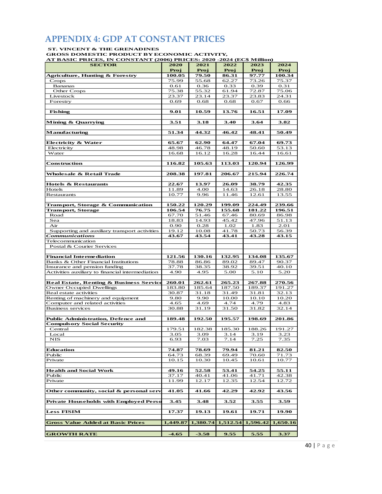## **APPENDIX 4: GDP AT CONSTANT PRICES**

#### **ST. VINCENT & THE GRENADINES**

**GROSS DOMESTIC PRODUCT BY ECONOMIC ACTIVITY,**

**AT BASIC PRICES, IN CONSTANT (2006) PRICES: 2020 -2024 (EC\$ Million) SECTOR 2020 2021 2022 2023 2024 Proj Proj Proj Proj Proj Agriculture, Hunting & Forestry 100.05 79.50 86.31 97.77 100.34** Crops 75.99 55.68 62.27 73.26 75.37 Bananas 0.61 0.36 0.33 0.39 0.31 Other Crops 2010 12.38 75.38 75.32 61.94 72.87 75.06 Livestock 23.37 23.14 23.37 23.83 24.31 Forestry 10.69 0.68 0.68 0.67 0.66  **Fishing 9.01 10.59 13.76 16.51 17.09 Mining & Quarrying 3.51 3.18 3.40 3.64 3.82 Manufacturing 51.34 44.32 46.42 48.41 50.49 Electricity & Water 65.67 62.90 64.47 67.04 69.73** Electricity 18.98 48.98 46.78 48.19 50.60 53.13 Water 16.68 16.12 16.28 16.44 16.61 **Construction 116.82 105.63 113.03 120.94 126.99 Wholesale & Retail Trade 208.38 197.81 206.67 215.94 226.74 Hotels & Restaurants 22.67 13.97 26.09 38.79 42.35** Hotels 11.89 4.00 14.63 26.18 28.80 Restaurants 10.77 9.96 11.46 12.61 13.55 **Transport, Storage & Communication 150.22 120.29 199.09 224.49 239.66 Transport, Storage 106.54 76.75 155.68 181.22 196.51** Road 67.70 51.46 67.46 80.69 86.98 Sea 18.83 14.93 145.42 14.96 151.13 Air 0.90 0.28 1.02 1.83 2.01 Supporting and auxiliary transport activities 19.12 10.08 41.78 50.73 56.39<br> **43.67 43.54 43.41 43.28 43.15** *Communications* **43.67 43.54 43.41 43.28 43.15** Telecommunication Postal & Courier Services **Financial Intermediation 121.56 130.16 132.95 134.08 135.67** Banks & Other Financial Institutions 78.88 86.86 89.02 89.47 90.37 Insurance and pension funding 37.78 38.35 38.92 39.51 40.10 Activities auxiliary to financial intermediation  $\begin{array}{|c|c|c|c|c|c|c|c|c|} \hline 4.90 & 4.95 & 5.00 & 5.10 & 5.20 \hline \end{array}$ **Real Estate, Renting & Business Services 260.01 262.61 265.23 267.88 270.56** Owner Occupied Dwellings 183.80 185.64 187.50 189.37 191.27<br>Real estate activities 30.87 31.18 31.49 31.81 32.13 Real estate activities 30.87 31.18 31.49 31.81 Renting of machinery and equipment 9.80 9.90 10.00 10.10 10.20<br>
Computer and related activities 4.65 4.69 4.74 4.79 4.83 Computer and related activities <br>Business services <br>30.88 31.19 31.50 31.82 32.14 Business services 30.88 31.19 31.50 31.82 **Public Administration, Defence and 189.48 192.50 195.57 198.69 201.86 Compulsory Social Security** Central 179.51 182.38 185.30 188.26 191.27 Local 1 3.05 3.09 3.14 3.19 3.23 NIS 6.93 7.03 7.14 7.25 7.35 **Education 74.87 78.69 79.94 81.21 82.50** Public **64.73 68.39 69.49 70.60 71.73** Fublic Private 10.15 10.15 10.30 10.45 10.61 10.77 **Health and Social Work 49.16 52.58 53.41 54.25 55.11** Public 2003 1 27.17 40.41 41.06 41.71 42.38 Private 12.72 12.17 12.17 12.35 12.54 12.72 **Other community, social & personal services41.05 41.66 42.29 42.92 43.56 Private Households with Employed Persons 3.45 3.48 3.52 3.55 3.59 Less FISIM 17.37 19.13 19.61 19.71 19.90 Gross Value Added at Basic Prices 1,449.87 1,380.74 1,512.54 1,596.42 1,650.16 GROWTH RATE -4.65 -3.58 9.55 5.55 3.37**